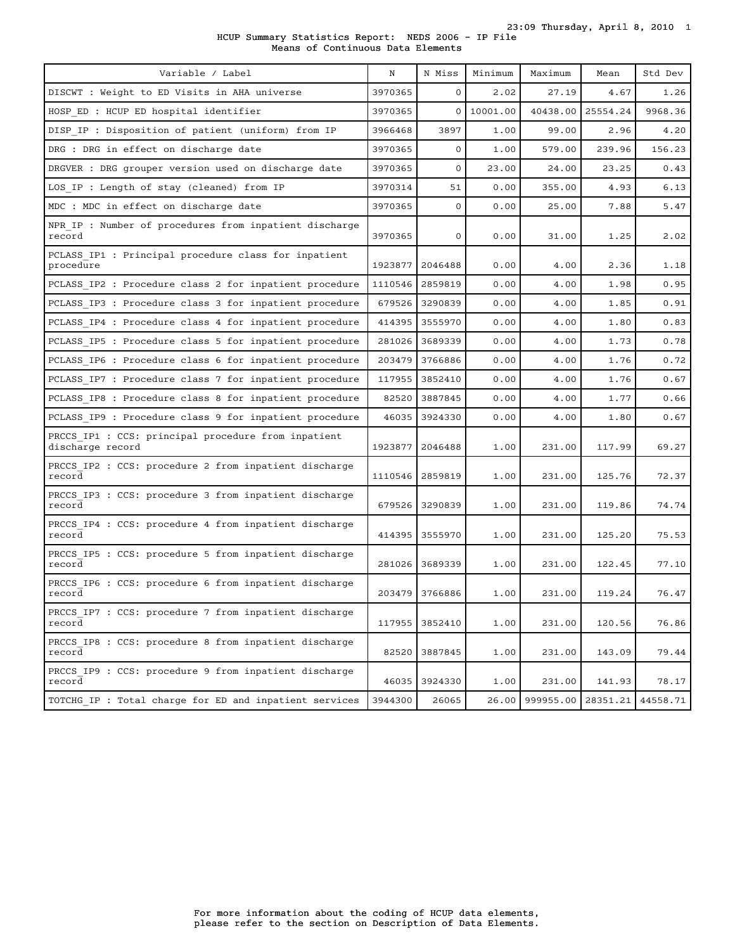23:09 Thursday, April 8, 2010 1

HCUP Summary Statistics Report: NEDS 2006 - IP File Means of Continuous Data Elements

| Variable / Label                                                        | N       | N Miss         | Minimum    | Maximum   | Mean     | Std Dev  |
|-------------------------------------------------------------------------|---------|----------------|------------|-----------|----------|----------|
| DISCWT : Weight to ED Visits in AHA universe                            | 3970365 | $\mathbf{0}$   | 2.02       | 27.19     | 4.67     | 1.26     |
| HOSP ED : HCUP ED hospital identifier                                   | 3970365 |                | 0 10001.00 | 40438.00  | 25554.24 | 9968.36  |
| DISP IP : Disposition of patient (uniform) from IP                      | 3966468 | 3897           | 1.00       | 99.00     | 2.96     | 4.20     |
| DRG : DRG in effect on discharge date                                   | 3970365 | 0              | 1.00       | 579.00    | 239.96   | 156.23   |
| DRGVER : DRG grouper version used on discharge date                     | 3970365 | $\mathbf 0$    | 23.00      | 24.00     | 23.25    | 0.43     |
| LOS IP : Length of stay (cleaned) from IP                               | 3970314 | 51             | 0.00       | 355.00    | 4.93     | 6.13     |
| MDC : MDC in effect on discharge date                                   | 3970365 | $\mathbf{O}$   | 0.00       | 25.00     | 7.88     | 5.47     |
| NPR IP : Number of procedures from inpatient discharge<br>record        | 3970365 | 0              | 0.00       | 31.00     | 1.25     | 2.02     |
| PCLASS IP1 : Principal procedure class for inpatient<br>procedure       | 1923877 | 2046488        | 0.00       | 4.00      | 2.36     | 1.18     |
| PCLASS IP2 : Procedure class 2 for inpatient procedure                  | 1110546 | 2859819        | 0.00       | 4.00      | 1.98     | 0.95     |
| PCLASS IP3 : Procedure class 3 for inpatient procedure                  | 679526  | 3290839        | 0.00       | 4.00      | 1.85     | 0.91     |
| PCLASS IP4 : Procedure class 4 for inpatient procedure                  | 414395  | 3555970        | 0.00       | 4.00      | 1.80     | 0.83     |
| PCLASS IP5 : Procedure class 5 for inpatient procedure                  | 281026  | 3689339        | 0.00       | 4.00      | 1.73     | 0.78     |
| PCLASS IP6 : Procedure class 6 for inpatient procedure                  | 203479  | 3766886        | 0.00       | 4.00      | 1.76     | 0.72     |
| PCLASS IP7 : Procedure class 7 for inpatient procedure                  | 117955  | 3852410        | 0.00       | 4.00      | 1.76     | 0.67     |
| PCLASS IP8 : Procedure class 8 for inpatient procedure                  | 82520   | 3887845        | 0.00       | 4.00      | 1.77     | 0.66     |
| PCLASS IP9 : Procedure class 9 for inpatient procedure                  | 46035   | 3924330        | 0.00       | 4.00      | 1.80     | 0.67     |
| PRCCS IP1 : CCS: principal procedure from inpatient<br>discharge record | 1923877 | 2046488        | 1.00       | 231.00    | 117.99   | 69.27    |
| PRCCS IP2 : CCS: procedure 2 from inpatient discharge<br>record         | 1110546 | 2859819        | 1.00       | 231.00    | 125.76   | 72.37    |
| PRCCS IP3 : CCS: procedure 3 from inpatient discharge<br>record         | 679526  | 3290839        | 1.00       | 231.00    | 119.86   | 74.74    |
| PRCCS IP4 : CCS: procedure 4 from inpatient discharge<br>record         | 414395  | 3555970        | 1.00       | 231.00    | 125.20   | 75.53    |
| PRCCS IP5 : CCS: procedure 5 from inpatient discharge<br>record         | 281026  | 3689339        | 1.00       | 231.00    | 122.45   | 77.10    |
| PRCCS IP6 : CCS: procedure 6 from inpatient discharge<br>record         |         | 203479 3766886 | 1.00       | 231.00    | 119.24   | 76.47    |
| PRCCS IP7 : CCS: procedure 7 from inpatient discharge<br>record         | 117955  | 3852410        | 1.00       | 231.00    | 120.56   | 76.86    |
| PRCCS IP8 : CCS: procedure 8 from inpatient discharge<br>record         | 82520   | 3887845        | 1.00       | 231.00    | 143.09   | 79.44    |
| PRCCS IP9 : CCS: procedure 9 from inpatient discharge<br>record         | 46035   | 3924330        | 1.00       | 231.00    | 141.93   | 78.17    |
| TOTCHG IP : Total charge for ED and inpatient services                  | 3944300 | 26065          | 26.00      | 999955.00 | 28351.21 | 44558.71 |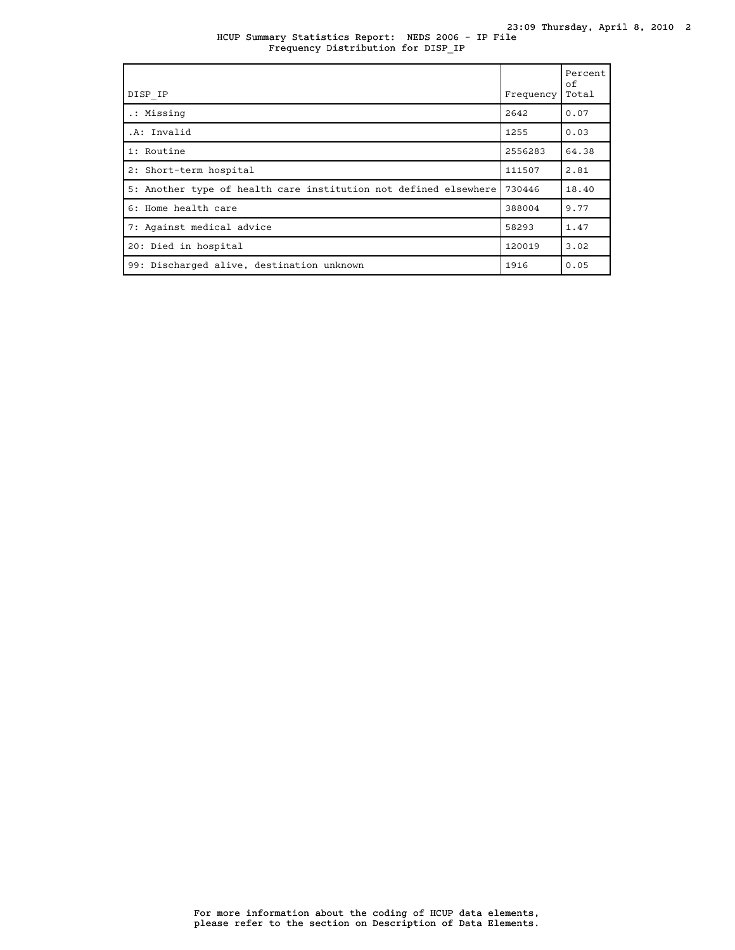HCUP Summary Statistics Report: NEDS 2006 - IP File Frequency Distribution for DISP\_IP

| DISP IP                                                          | Frequency | Percent<br>of<br>Total |
|------------------------------------------------------------------|-----------|------------------------|
| .: Missing                                                       | 2642      | 0.07                   |
| .A: Invalid                                                      | 1255      | 0.03                   |
| 1: Routine                                                       | 2556283   | 64.38                  |
| 2: Short-term hospital                                           | 111507    | 2.81                   |
| 5: Another type of health care institution not defined elsewhere | 730446    | 18.40                  |
| 6: Home health care                                              | 388004    | 9.77                   |
| 7: Against medical advice                                        | 58293     | 1.47                   |
| 20: Died in hospital                                             | 120019    | 3.02                   |
| 99: Discharged alive, destination unknown                        | 1916      | 0.05                   |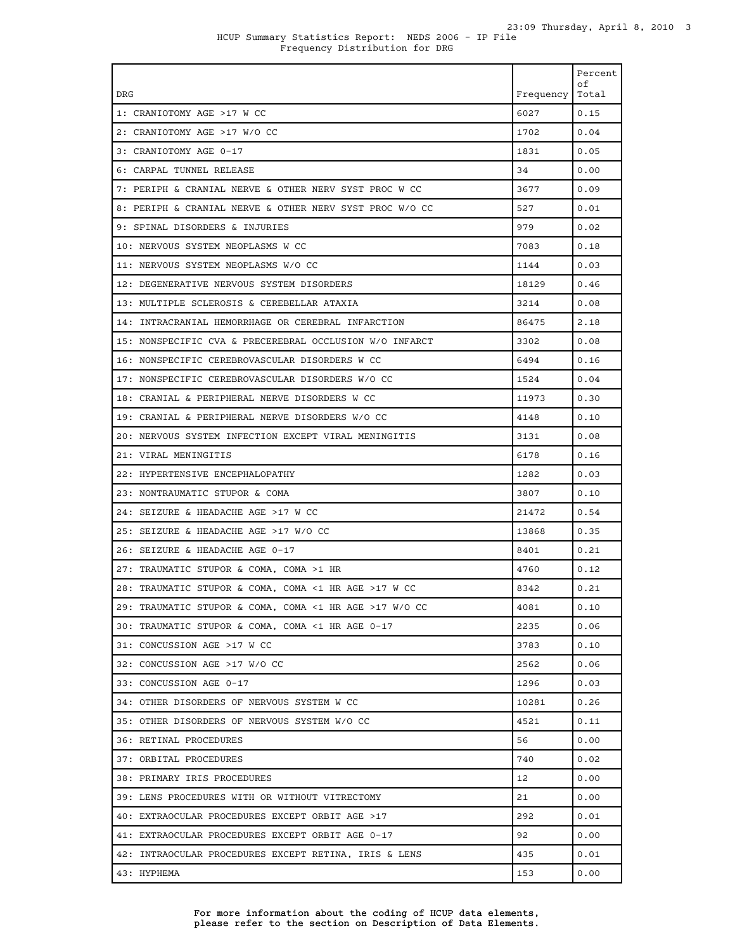|                                                         |           | Percent     |
|---------------------------------------------------------|-----------|-------------|
| DRG                                                     | Frequency | оf<br>Total |
| 1: CRANIOTOMY AGE >17 W CC                              | 6027      | 0.15        |
| 2: CRANIOTOMY AGE >17 W/O CC                            | 1702      | 0.04        |
| 3: CRANIOTOMY AGE 0-17                                  | 1831      | 0.05        |
| 6: CARPAL TUNNEL RELEASE                                | 34        | 0.00        |
| 7: PERIPH & CRANIAL NERVE & OTHER NERV SYST PROC W CC   | 3677      | 0.09        |
| 8: PERIPH & CRANIAL NERVE & OTHER NERV SYST PROC W/O CC | 527       | 0.01        |
| 9: SPINAL DISORDERS & INJURIES                          | 979       | 0.02        |
| 10: NERVOUS SYSTEM NEOPLASMS W CC                       | 7083      | 0.18        |
| 11: NERVOUS SYSTEM NEOPLASMS W/O CC                     | 1144      | 0.03        |
| 12: DEGENERATIVE NERVOUS SYSTEM DISORDERS               | 18129     | 0.46        |
| 13: MULTIPLE SCLEROSIS & CEREBELLAR ATAXIA              | 3214      | 0.08        |
| 14: INTRACRANIAL HEMORRHAGE OR CEREBRAL INFARCTION      | 86475     | 2.18        |
| 15: NONSPECIFIC CVA & PRECEREBRAL OCCLUSION W/O INFARCT | 3302      | 0.08        |
| 16: NONSPECIFIC CEREBROVASCULAR DISORDERS W CC          | 6494      | 0.16        |
| 17: NONSPECIFIC CEREBROVASCULAR DISORDERS W/O CC        | 1524      | 0.04        |
| 18: CRANIAL & PERIPHERAL NERVE DISORDERS W CC           | 11973     | 0.30        |
| 19: CRANIAL & PERIPHERAL NERVE DISORDERS W/O CC         | 4148      | 0.10        |
| 20: NERVOUS SYSTEM INFECTION EXCEPT VIRAL MENINGITIS    | 3131      | 0.08        |
| 21: VIRAL MENINGITIS                                    | 6178      | 0.16        |
| 22: HYPERTENSIVE ENCEPHALOPATHY                         | 1282      | 0.03        |
| 23: NONTRAUMATIC STUPOR & COMA                          | 3807      | 0.10        |
| 24: SEIZURE & HEADACHE AGE >17 W CC                     | 21472     | 0.54        |
| 25: SEIZURE & HEADACHE AGE >17 W/O CC                   | 13868     | 0.35        |
| 26: SEIZURE & HEADACHE AGE 0-17                         | 8401      | 0.21        |
| 27: TRAUMATIC STUPOR & COMA, COMA >1 HR                 | 4760      | 0.12        |
| 28: TRAUMATIC STUPOR & COMA, COMA <1 HR AGE >17 W CC    | 8342      | 0.21        |
| 29: TRAUMATIC STUPOR & COMA, COMA <1 HR AGE >17 W/O CC  | 4081      | 0.10        |
| 30: TRAUMATIC STUPOR & COMA, COMA <1 HR AGE 0-17        | 2235      | 0.06        |
| 31: CONCUSSION AGE >17 W CC                             | 3783      | 0.10        |
| 32: CONCUSSION AGE >17 W/O CC                           | 2562      | 0.06        |
| 33: CONCUSSION AGE 0-17                                 | 1296      | 0.03        |
| 34: OTHER DISORDERS OF NERVOUS SYSTEM W CC              | 10281     | 0.26        |
| 35: OTHER DISORDERS OF NERVOUS SYSTEM W/O CC            | 4521      | 0.11        |
| 36: RETINAL PROCEDURES                                  | 56        | 0.00        |
| 37: ORBITAL PROCEDURES                                  | 740       | 0.02        |
| 38: PRIMARY IRIS PROCEDURES                             | 12        | 0.00        |
| 39: LENS PROCEDURES WITH OR WITHOUT VITRECTOMY          | 21        | 0.00        |
| 40: EXTRAOCULAR PROCEDURES EXCEPT ORBIT AGE >17         | 292       | 0.01        |
| 41: EXTRAOCULAR PROCEDURES EXCEPT ORBIT AGE 0-17        | 92        | 0.00        |
| 42: INTRAOCULAR PROCEDURES EXCEPT RETINA, IRIS & LENS   | 435       | 0.01        |
| 43: HYPHEMA                                             | 153       | 0.00        |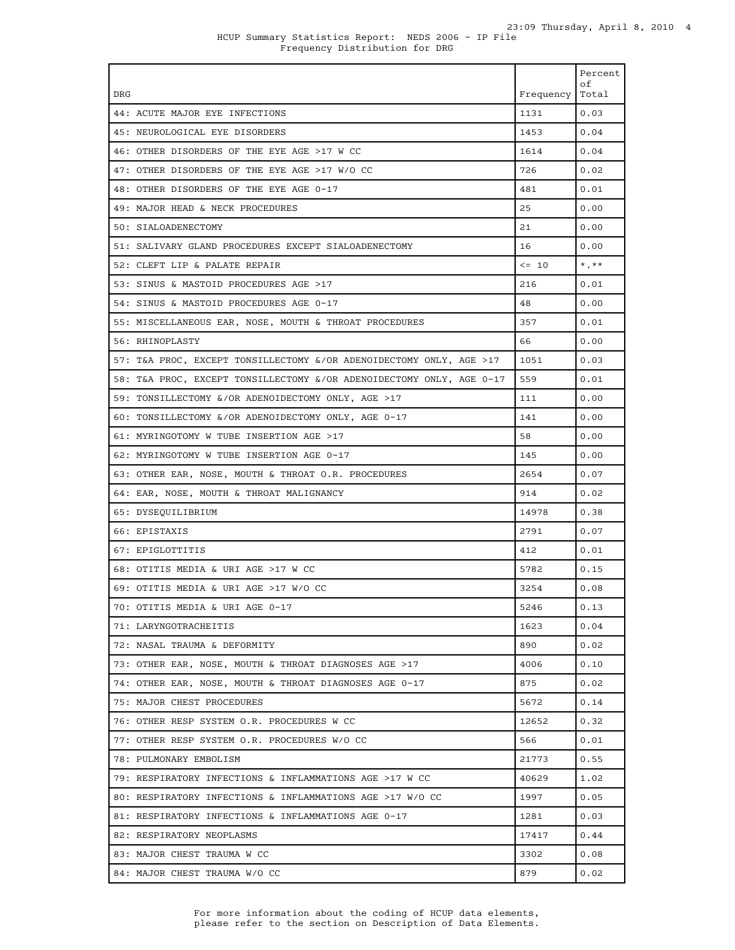| DRG                                                                  | Frequency   Total | Percent<br>οf |
|----------------------------------------------------------------------|-------------------|---------------|
| 44: ACUTE MAJOR EYE INFECTIONS                                       | 1131              | 0.03          |
| 45: NEUROLOGICAL EYE DISORDERS                                       | 1453              | 0.04          |
| 46: OTHER DISORDERS OF THE EYE AGE >17 W CC                          | 1614              | 0.04          |
| 47: OTHER DISORDERS OF THE EYE AGE >17 W/O CC                        | 726               | 0.02          |
| 48: OTHER DISORDERS OF THE EYE AGE 0-17                              | 481               | 0.01          |
| 49: MAJOR HEAD & NECK PROCEDURES                                     | 25                | 0.00          |
| 50: SIALOADENECTOMY                                                  | 21                | 0.00          |
| 51: SALIVARY GLAND PROCEDURES EXCEPT SIALOADENECTOMY                 | 16                | 0.00          |
| 52: CLEFT LIP & PALATE REPAIR                                        | $\leq$ 10         | $*$ $**$      |
| 53: SINUS & MASTOID PROCEDURES AGE >17                               | 216               | 0.01          |
| 54: SINUS & MASTOID PROCEDURES AGE 0-17                              | 48                | 0.00          |
| 55: MISCELLANEOUS EAR, NOSE, MOUTH & THROAT PROCEDURES               | 357               | 0.01          |
| 56: RHINOPLASTY                                                      | 66                | 0.00          |
| 57: T&A PROC, EXCEPT TONSILLECTOMY &/OR ADENOIDECTOMY ONLY, AGE >17  | 1051              | 0.03          |
| 58: T&A PROC, EXCEPT TONSILLECTOMY &/OR ADENOIDECTOMY ONLY, AGE 0-17 | 559               | 0.01          |
| 59: TONSILLECTOMY &/OR ADENOIDECTOMY ONLY, AGE >17                   | 111               | 0.00          |
| 60: TONSILLECTOMY &/OR ADENOIDECTOMY ONLY, AGE 0-17                  | 141               | 0.00          |
| 61: MYRINGOTOMY W TUBE INSERTION AGE >17                             | 58                | 0.00          |
| 62: MYRINGOTOMY W TUBE INSERTION AGE 0-17                            | 145               | 0.00          |
| 63: OTHER EAR, NOSE, MOUTH & THROAT O.R. PROCEDURES                  | 2654              | 0.07          |
| 64: EAR, NOSE, MOUTH & THROAT MALIGNANCY                             | 914               | 0.02          |
| 65: DYSEQUILIBRIUM                                                   | 14978             | 0.38          |
| 66: EPISTAXIS                                                        | 2791              | 0.07          |
| 67: EPIGLOTTITIS                                                     | 412               | 0.01          |
| 68: OTITIS MEDIA & URI AGE >17 W CC                                  | 5782              | 0.15          |
| 69: OTITIS MEDIA & URI AGE >17 W/O CC                                | 3254              | 0.08          |
| 70: OTITIS MEDIA & URI AGE 0-17                                      | 5246              | 0.13          |
| 71: LARYNGOTRACHEITIS                                                | 1623              | 0.04          |
| 72: NASAL TRAUMA & DEFORMITY                                         | 890               | 0.02          |
| 73: OTHER EAR, NOSE, MOUTH & THROAT DIAGNOSES AGE >17                | 4006              | 0.10          |
| 74: OTHER EAR, NOSE, MOUTH & THROAT DIAGNOSES AGE 0-17               | 875               | 0.02          |
| 75: MAJOR CHEST PROCEDURES                                           | 5672              | 0.14          |
| 76: OTHER RESP SYSTEM O.R. PROCEDURES W CC                           | 12652             | 0.32          |
| 77: OTHER RESP SYSTEM O.R. PROCEDURES W/O CC                         | 566               | 0.01          |
| 78: PULMONARY EMBOLISM                                               | 21773             | 0.55          |
| 79: RESPIRATORY INFECTIONS & INFLAMMATIONS AGE >17 W CC              | 40629             | 1.02          |
| 80: RESPIRATORY INFECTIONS & INFLAMMATIONS AGE >17 W/O CC            | 1997              | 0.05          |
| 81: RESPIRATORY INFECTIONS & INFLAMMATIONS AGE 0-17                  | 1281              | 0.03          |
| 82: RESPIRATORY NEOPLASMS                                            | 17417             | 0.44          |
| 83: MAJOR CHEST TRAUMA W CC                                          | 3302              | 0.08          |
| 84: MAJOR CHEST TRAUMA W/O CC                                        | 879               | 0.02          |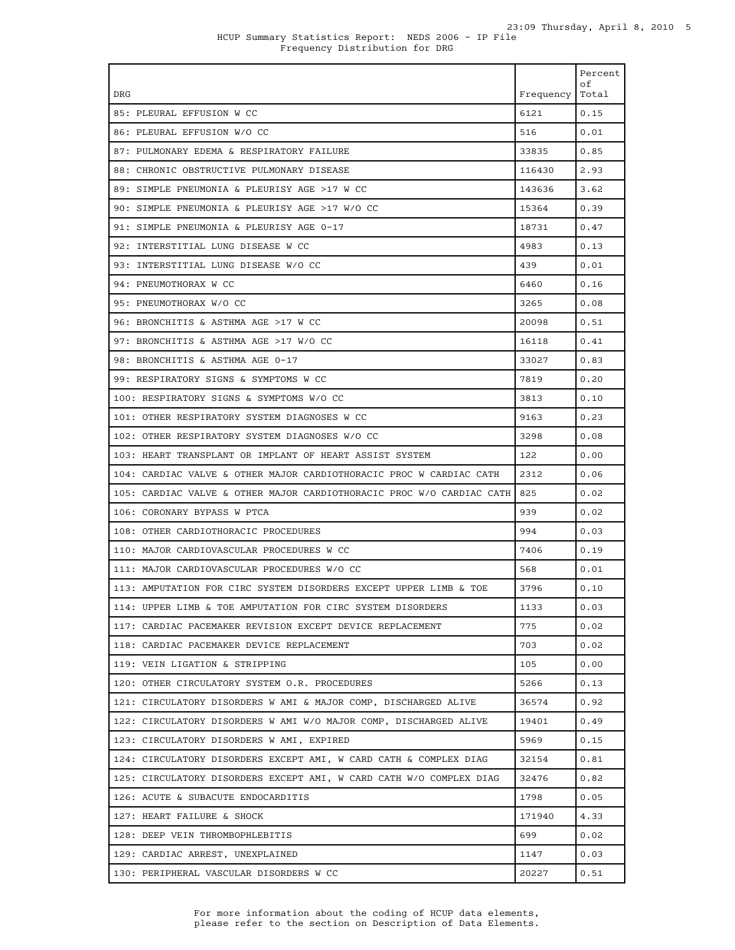| DRG                                                                   | Frequency | Percent<br>оf<br>Total |
|-----------------------------------------------------------------------|-----------|------------------------|
| 85: PLEURAL EFFUSION W CC                                             | 6121      | 0.15                   |
| 86: PLEURAL EFFUSION W/O CC                                           | 516       | 0.01                   |
| 87: PULMONARY EDEMA & RESPIRATORY FAILURE                             | 33835     | 0.85                   |
| 88: CHRONIC OBSTRUCTIVE PULMONARY DISEASE                             | 116430    | 2.93                   |
| 89: SIMPLE PNEUMONIA & PLEURISY AGE >17 W CC                          | 143636    | 3.62                   |
| 90: SIMPLE PNEUMONIA & PLEURISY AGE >17 W/O CC                        | 15364     | 0.39                   |
| 91: SIMPLE PNEUMONIA & PLEURISY AGE 0-17                              | 18731     | 0.47                   |
| 92: INTERSTITIAL LUNG DISEASE W CC                                    | 4983      | 0.13                   |
| 93: INTERSTITIAL LUNG DISEASE W/O CC                                  | 439       | 0.01                   |
| 94: PNEUMOTHORAX W CC                                                 | 6460      | 0.16                   |
| 95: PNEUMOTHORAX W/O CC                                               | 3265      | 0.08                   |
| 96: BRONCHITIS & ASTHMA AGE >17 W CC                                  | 20098     | 0.51                   |
| 97: BRONCHITIS & ASTHMA AGE >17 W/O CC                                | 16118     | 0.41                   |
| 98: BRONCHITIS & ASTHMA AGE 0-17                                      | 33027     | 0.83                   |
| 99: RESPIRATORY SIGNS & SYMPTOMS W CC                                 | 7819      | 0.20                   |
| 100: RESPIRATORY SIGNS & SYMPTOMS W/O CC                              | 3813      | 0.10                   |
| 101: OTHER RESPIRATORY SYSTEM DIAGNOSES W CC                          | 9163      | 0.23                   |
| 102: OTHER RESPIRATORY SYSTEM DIAGNOSES W/O CC                        | 3298      | 0.08                   |
| 103: HEART TRANSPLANT OR IMPLANT OF HEART ASSIST SYSTEM               | 122       | 0.00                   |
| 104: CARDIAC VALVE & OTHER MAJOR CARDIOTHORACIC PROC W CARDIAC CATH   | 2312      | 0.06                   |
| 105: CARDIAC VALVE & OTHER MAJOR CARDIOTHORACIC PROC W/O CARDIAC CATH | 825       | 0.02                   |
| 106: CORONARY BYPASS W PTCA                                           | 939       | 0.02                   |
| 108: OTHER CARDIOTHORACIC PROCEDURES                                  | 994       | 0.03                   |
| 110: MAJOR CARDIOVASCULAR PROCEDURES W CC                             | 7406      | 0.19                   |
| 111: MAJOR CARDIOVASCULAR PROCEDURES W/O CC                           | 568       | 0.01                   |
| 113: AMPUTATION FOR CIRC SYSTEM DISORDERS EXCEPT UPPER LIMB & TOE     | 3796      | 0.10                   |
| 114: UPPER LIMB & TOE AMPUTATION FOR CIRC SYSTEM DISORDERS            | 1133      | 0.03                   |
| 117: CARDIAC PACEMAKER REVISION EXCEPT DEVICE REPLACEMENT             | 775       | 0.02                   |
| 118: CARDIAC PACEMAKER DEVICE REPLACEMENT                             | 703       | 0.02                   |
| 119: VEIN LIGATION & STRIPPING                                        | 105       | 0.00                   |
| 120: OTHER CIRCULATORY SYSTEM O.R. PROCEDURES                         | 5266      | 0.13                   |
| 121: CIRCULATORY DISORDERS W AMI & MAJOR COMP, DISCHARGED ALIVE       | 36574     | 0.92                   |
| 122: CIRCULATORY DISORDERS W AMI W/O MAJOR COMP, DISCHARGED ALIVE     | 19401     | 0.49                   |
| 123: CIRCULATORY DISORDERS W AMI, EXPIRED                             | 5969      | 0.15                   |
| 124: CIRCULATORY DISORDERS EXCEPT AMI, W CARD CATH & COMPLEX DIAG     | 32154     | 0.81                   |
| 125: CIRCULATORY DISORDERS EXCEPT AMI, W CARD CATH W/O COMPLEX DIAG   | 32476     | 0.82                   |
| 126: ACUTE & SUBACUTE ENDOCARDITIS                                    | 1798      | 0.05                   |
| 127: HEART FAILURE & SHOCK                                            | 171940    | 4.33                   |
| 128: DEEP VEIN THROMBOPHLEBITIS                                       | 699       | 0.02                   |
| 129: CARDIAC ARREST, UNEXPLAINED                                      | 1147      | 0.03                   |
| 130: PERIPHERAL VASCULAR DISORDERS W CC                               | 20227     | 0.51                   |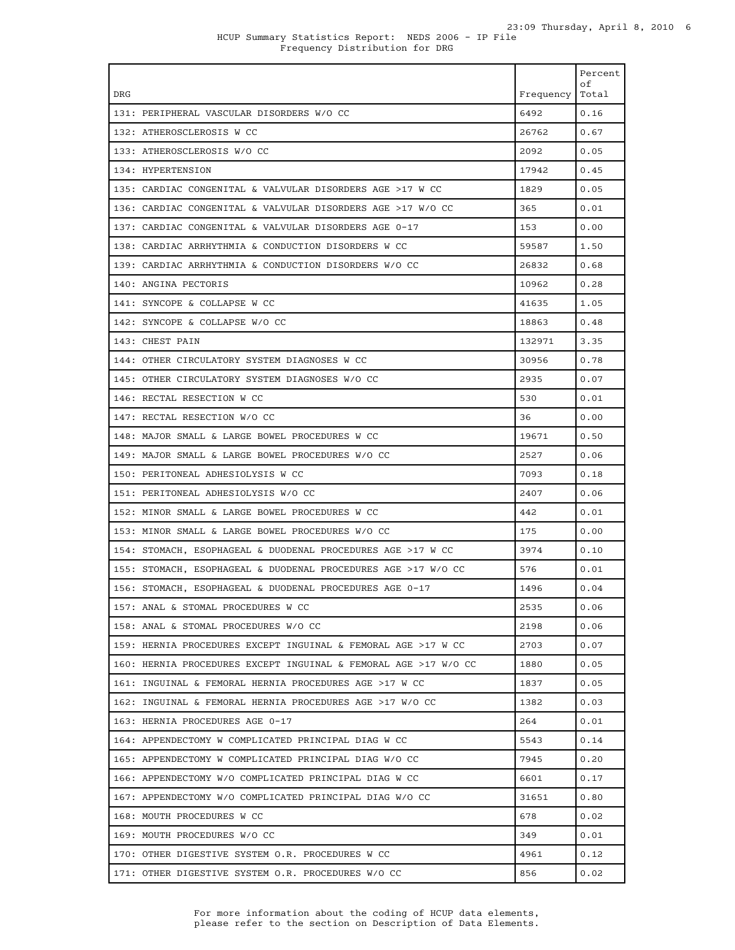| DRG                                                             | Frequency   Total | Percent<br>оf |
|-----------------------------------------------------------------|-------------------|---------------|
| 131: PERIPHERAL VASCULAR DISORDERS W/O CC                       | 6492              | 0.16          |
| 132: ATHEROSCLEROSIS W CC                                       | 26762             | 0.67          |
| 133: ATHEROSCLEROSIS W/O CC                                     | 2092              | 0.05          |
| 134: HYPERTENSION                                               | 17942             | 0.45          |
| 135: CARDIAC CONGENITAL & VALVULAR DISORDERS AGE >17 W CC       | 1829              | 0.05          |
| 136: CARDIAC CONGENITAL & VALVULAR DISORDERS AGE >17 W/O CC     | 365               | 0.01          |
| 137: CARDIAC CONGENITAL & VALVULAR DISORDERS AGE 0-17           | 153               | 0.00          |
| 138: CARDIAC ARRHYTHMIA & CONDUCTION DISORDERS W CC             | 59587             | 1.50          |
| 139: CARDIAC ARRHYTHMIA & CONDUCTION DISORDERS W/O CC           | 26832             | 0.68          |
| 140: ANGINA PECTORIS                                            | 10962             | 0.28          |
| 141: SYNCOPE & COLLAPSE W CC                                    | 41635             | 1.05          |
| 142: SYNCOPE & COLLAPSE W/O CC                                  | 18863             | 0.48          |
| 143: CHEST PAIN                                                 | 132971            | 3.35          |
| 144: OTHER CIRCULATORY SYSTEM DIAGNOSES W CC                    | 30956             | 0.78          |
| 145: OTHER CIRCULATORY SYSTEM DIAGNOSES W/O CC                  | 2935              | 0.07          |
| 146: RECTAL RESECTION W CC                                      | 530               | 0.01          |
| 147: RECTAL RESECTION W/O CC                                    | 36                | 0.00          |
| 148: MAJOR SMALL & LARGE BOWEL PROCEDURES W CC                  | 19671             | 0.50          |
| 149: MAJOR SMALL & LARGE BOWEL PROCEDURES W/O CC                | 2527              | 0.06          |
| 150: PERITONEAL ADHESIOLYSIS W CC                               | 7093              | 0.18          |
| 151: PERITONEAL ADHESIOLYSIS W/O CC                             | 2407              | 0.06          |
| 152: MINOR SMALL & LARGE BOWEL PROCEDURES W CC                  | 442               | 0.01          |
| 153: MINOR SMALL & LARGE BOWEL PROCEDURES W/O CC                | 175               | 0.00          |
| 154: STOMACH, ESOPHAGEAL & DUODENAL PROCEDURES AGE >17 W CC     | 3974              | 0.10          |
| 155: STOMACH, ESOPHAGEAL & DUODENAL PROCEDURES AGE >17 W/O CC   | 576               | 0.01          |
| 156: STOMACH, ESOPHAGEAL & DUODENAL PROCEDURES AGE 0-17         | 1496              | 0.04          |
| 157: ANAL & STOMAL PROCEDURES W CC                              | 2535              | 0.06          |
| 158: ANAL & STOMAL PROCEDURES W/O CC                            | 2198              | 0.06          |
| 159: HERNIA PROCEDURES EXCEPT INGUINAL & FEMORAL AGE >17 W CC   | 2703              | 0.07          |
| 160: HERNIA PROCEDURES EXCEPT INGUINAL & FEMORAL AGE >17 W/O CC | 1880              | 0.05          |
| 161: INGUINAL & FEMORAL HERNIA PROCEDURES AGE >17 W CC          | 1837              | 0.05          |
| 162: INGUINAL & FEMORAL HERNIA PROCEDURES AGE >17 W/O CC        | 1382              | 0.03          |
| 163: HERNIA PROCEDURES AGE 0-17                                 | 264               | 0.01          |
| 164: APPENDECTOMY W COMPLICATED PRINCIPAL DIAG W CC             | 5543              | 0.14          |
| 165: APPENDECTOMY W COMPLICATED PRINCIPAL DIAG W/O CC           | 7945              | 0.20          |
| 166: APPENDECTOMY W/O COMPLICATED PRINCIPAL DIAG W CC           | 6601              | 0.17          |
| 167: APPENDECTOMY W/O COMPLICATED PRINCIPAL DIAG W/O CC         | 31651             | 0.80          |
| 168: MOUTH PROCEDURES W CC                                      | 678               | 0.02          |
| 169: MOUTH PROCEDURES W/O CC                                    | 349               | 0.01          |
| 170: OTHER DIGESTIVE SYSTEM O.R. PROCEDURES W CC                | 4961              | 0.12          |
| 171: OTHER DIGESTIVE SYSTEM O.R. PROCEDURES W/O CC              | 856               | 0.02          |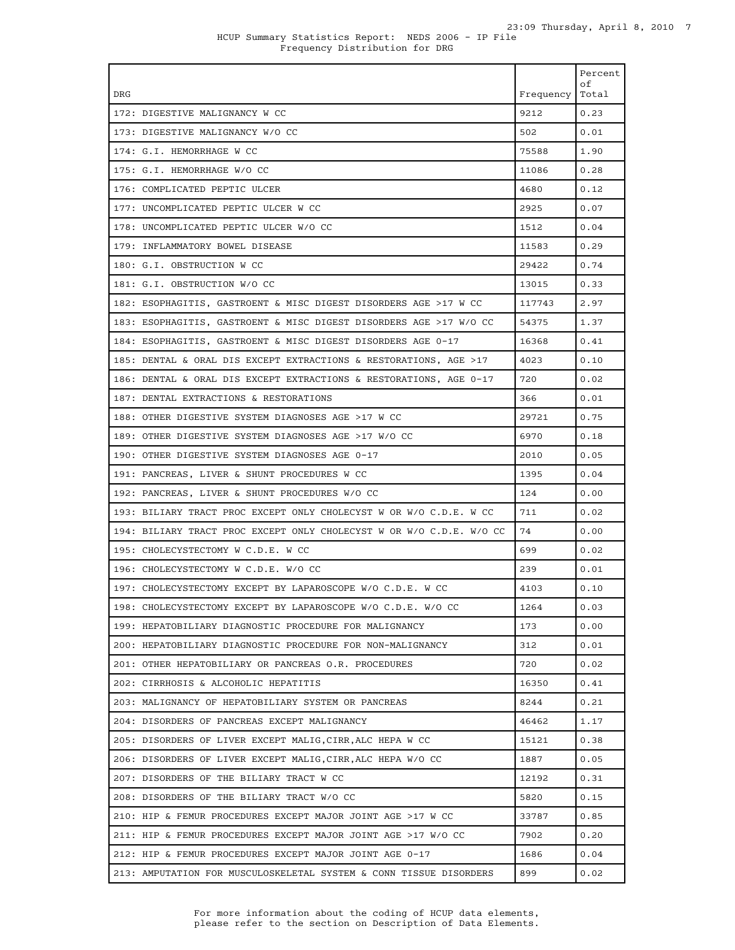| DRG                                                                  | Frequency   Total | Percent<br>оf |
|----------------------------------------------------------------------|-------------------|---------------|
| 172: DIGESTIVE MALIGNANCY W CC                                       | 9212              | 0.23          |
| 173: DIGESTIVE MALIGNANCY W/O CC                                     | 502               | 0.01          |
| 174: G.I. HEMORRHAGE W CC                                            | 75588             | 1.90          |
| 175: G.I. HEMORRHAGE W/O CC                                          | 11086             | 0.28          |
| 176: COMPLICATED PEPTIC ULCER                                        | 4680              | 0.12          |
| 177: UNCOMPLICATED PEPTIC ULCER W CC                                 | 2925              | 0.07          |
| 178: UNCOMPLICATED PEPTIC ULCER W/O CC                               | 1512              | 0.04          |
| 179: INFLAMMATORY BOWEL DISEASE                                      | 11583             | 0.29          |
| 180: G.I. OBSTRUCTION W CC                                           | 29422             | 0.74          |
| 181: G.I. OBSTRUCTION W/O CC                                         | 13015             | 0.33          |
| 182: ESOPHAGITIS, GASTROENT & MISC DIGEST DISORDERS AGE >17 W CC     | 117743            | 2.97          |
| 183: ESOPHAGITIS, GASTROENT & MISC DIGEST DISORDERS AGE >17 W/O CC   | 54375             | 1.37          |
| 184: ESOPHAGITIS, GASTROENT & MISC DIGEST DISORDERS AGE 0-17         | 16368             | 0.41          |
| 185: DENTAL & ORAL DIS EXCEPT EXTRACTIONS & RESTORATIONS, AGE >17    | 4023              | 0.10          |
| 186: DENTAL & ORAL DIS EXCEPT EXTRACTIONS & RESTORATIONS, AGE 0-17   | 720               | 0.02          |
| 187: DENTAL EXTRACTIONS & RESTORATIONS                               | 366               | 0.01          |
| 188: OTHER DIGESTIVE SYSTEM DIAGNOSES AGE >17 W CC                   | 29721             | 0.75          |
| 189: OTHER DIGESTIVE SYSTEM DIAGNOSES AGE >17 W/O CC                 | 6970              | 0.18          |
| 190: OTHER DIGESTIVE SYSTEM DIAGNOSES AGE 0-17                       | 2010              | 0.05          |
| 191: PANCREAS, LIVER & SHUNT PROCEDURES W CC                         | 1395              | 0.04          |
| 192: PANCREAS, LIVER & SHUNT PROCEDURES W/O CC                       | 124               | 0.00          |
| 193: BILIARY TRACT PROC EXCEPT ONLY CHOLECYST W OR W/O C.D.E. W CC   | 711               | 0.02          |
| 194: BILIARY TRACT PROC EXCEPT ONLY CHOLECYST W OR W/O C.D.E. W/O CC | 74                | 0.00          |
| 195: CHOLECYSTECTOMY W C.D.E. W CC                                   | 699               | 0.02          |
| 196: CHOLECYSTECTOMY W C.D.E. W/O CC                                 | 239               | 0.01          |
| 197: CHOLECYSTECTOMY EXCEPT BY LAPAROSCOPE W/O C.D.E. W CC           | 4103              | 0.10          |
| 198: CHOLECYSTECTOMY EXCEPT BY LAPAROSCOPE W/O C.D.E. W/O CC         | 1264              | 0.03          |
| 199: HEPATOBILIARY DIAGNOSTIC PROCEDURE FOR MALIGNANCY               | 173               | 0.00          |
| 200: HEPATOBILIARY DIAGNOSTIC PROCEDURE FOR NON-MALIGNANCY           | 312               | 0.01          |
| 201: OTHER HEPATOBILIARY OR PANCREAS O.R. PROCEDURES                 | 720               | 0.02          |
| 202: CIRRHOSIS & ALCOHOLIC HEPATITIS                                 | 16350             | 0.41          |
| 203: MALIGNANCY OF HEPATOBILIARY SYSTEM OR PANCREAS                  | 8244              | 0.21          |
| 204: DISORDERS OF PANCREAS EXCEPT MALIGNANCY                         | 46462             | 1.17          |
| 205: DISORDERS OF LIVER EXCEPT MALIG, CIRR, ALC HEPA W CC            | 15121             | 0.38          |
| 206: DISORDERS OF LIVER EXCEPT MALIG, CIRR, ALC HEPA W/O CC          | 1887              | 0.05          |
| 207: DISORDERS OF THE BILIARY TRACT W CC                             | 12192             | 0.31          |
| 208: DISORDERS OF THE BILIARY TRACT W/O CC                           | 5820              | 0.15          |
| 210: HIP & FEMUR PROCEDURES EXCEPT MAJOR JOINT AGE >17 W CC          | 33787             | 0.85          |
| 211: HIP & FEMUR PROCEDURES EXCEPT MAJOR JOINT AGE >17 W/O CC        | 7902              | 0.20          |
| 212: HIP & FEMUR PROCEDURES EXCEPT MAJOR JOINT AGE 0-17              | 1686              | 0.04          |
| 213: AMPUTATION FOR MUSCULOSKELETAL SYSTEM & CONN TISSUE DISORDERS   | 899               | 0.02          |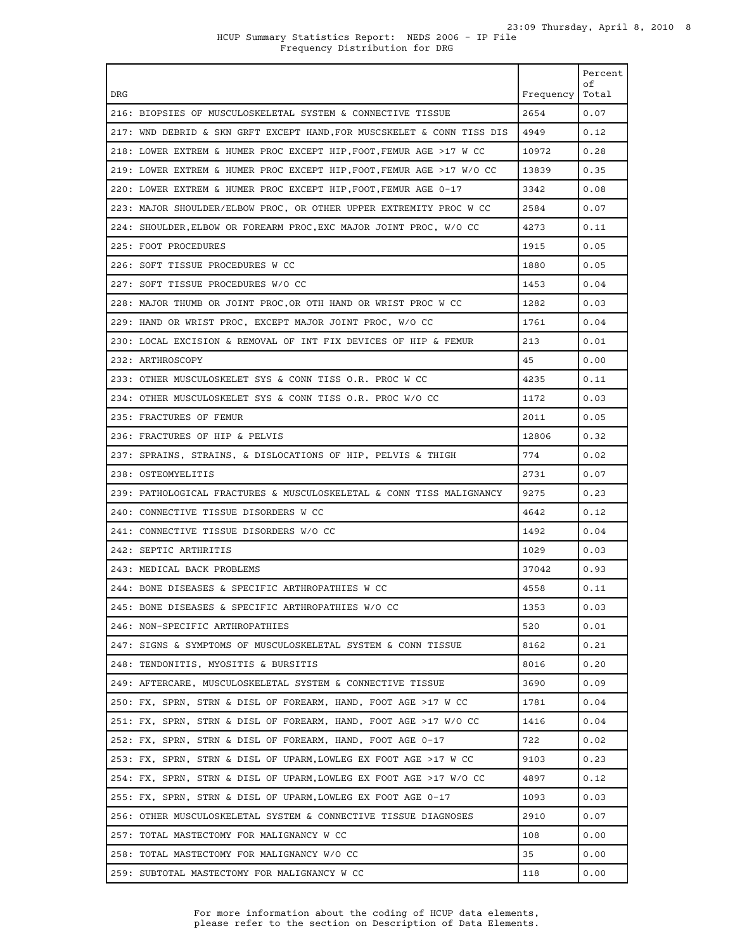| <b>DRG</b>                                                             | Frequency   Total | Percent<br>оf |
|------------------------------------------------------------------------|-------------------|---------------|
| 216: BIOPSIES OF MUSCULOSKELETAL SYSTEM & CONNECTIVE TISSUE            | 2654              | 0.07          |
| 217: WND DEBRID & SKN GRFT EXCEPT HAND, FOR MUSCSKELET & CONN TISS DIS | 4949              | 0.12          |
| 218: LOWER EXTREM & HUMER PROC EXCEPT HIP, FOOT, FEMUR AGE >17 W CC    | 10972             | 0.28          |
| 219: LOWER EXTREM & HUMER PROC EXCEPT HIP, FOOT, FEMUR AGE >17 W/O CC  | 13839             | 0.35          |
| 220: LOWER EXTREM & HUMER PROC EXCEPT HIP, FOOT, FEMUR AGE 0-17        | 3342              | 0.08          |
| 223: MAJOR SHOULDER/ELBOW PROC, OR OTHER UPPER EXTREMITY PROC W CC     | 2584              | 0.07          |
| 224: SHOULDER, ELBOW OR FOREARM PROC, EXC MAJOR JOINT PROC, W/O CC     | 4273              | 0.11          |
| 225: FOOT PROCEDURES                                                   | 1915              | 0.05          |
| 226: SOFT TISSUE PROCEDURES W CC                                       | 1880              | 0.05          |
| 227: SOFT TISSUE PROCEDURES W/O CC                                     | 1453              | 0.04          |
| 228: MAJOR THUMB OR JOINT PROC. OR OTH HAND OR WRIST PROC W CC         | 1282              | 0.03          |
| 229: HAND OR WRIST PROC, EXCEPT MAJOR JOINT PROC, W/O CC               | 1761              | 0.04          |
| 230: LOCAL EXCISION & REMOVAL OF INT FIX DEVICES OF HIP & FEMUR        | 213               | 0.01          |
| 232: ARTHROSCOPY                                                       | 45                | 0.00          |
| 233: OTHER MUSCULOSKELET SYS & CONN TISS O.R. PROC W CC                | 4235              | 0.11          |
| 234: OTHER MUSCULOSKELET SYS & CONN TISS O.R. PROC W/O CC              | 1172              | 0.03          |
| 235: FRACTURES OF FEMUR                                                | 2011              | 0.05          |
| 236: FRACTURES OF HIP & PELVIS                                         | 12806             | 0.32          |
| 237: SPRAINS, STRAINS, & DISLOCATIONS OF HIP, PELVIS & THIGH           | 774               | 0.02          |
| 238: OSTEOMYELITIS                                                     | 2731              | 0.07          |
| 239: PATHOLOGICAL FRACTURES & MUSCULOSKELETAL & CONN TISS MALIGNANCY   | 9275              | 0.23          |
| 240: CONNECTIVE TISSUE DISORDERS W CC                                  | 4642              | 0.12          |
| 241: CONNECTIVE TISSUE DISORDERS W/O CC                                | 1492              | 0.04          |
| 242: SEPTIC ARTHRITIS                                                  | 1029              | 0.03          |
| 243: MEDICAL BACK PROBLEMS                                             | 37042             | 0.93          |
| 244: BONE DISEASES & SPECIFIC ARTHROPATHIES W CC                       | 4558              | 0.11          |
| 245: BONE DISEASES & SPECIFIC ARTHROPATHIES W/O CC                     | 1353              | 0.03          |
| 246: NON-SPECIFIC ARTHROPATHIES                                        | 520               | 0.01          |
| 247: SIGNS & SYMPTOMS OF MUSCULOSKELETAL SYSTEM & CONN TISSUE          | 8162              | 0.21          |
| 248: TENDONITIS, MYOSITIS & BURSITIS                                   | 8016              | 0.20          |
| 249: AFTERCARE, MUSCULOSKELETAL SYSTEM & CONNECTIVE TISSUE             | 3690              | 0.09          |
| 250: FX, SPRN, STRN & DISL OF FOREARM, HAND, FOOT AGE >17 W CC         | 1781              | 0.04          |
| 251: FX, SPRN, STRN & DISL OF FOREARM, HAND, FOOT AGE >17 W/O CC       | 1416              | 0.04          |
| 252: FX, SPRN, STRN & DISL OF FOREARM, HAND, FOOT AGE 0-17             | 722               | 0.02          |
| 253: FX, SPRN, STRN & DISL OF UPARM, LOWLEG EX FOOT AGE >17 W CC       | 9103              | 0.23          |
| 254: FX, SPRN, STRN & DISL OF UPARM, LOWLEG EX FOOT AGE >17 W/O CC     | 4897              | 0.12          |
| 255: FX, SPRN, STRN & DISL OF UPARM, LOWLEG EX FOOT AGE 0-17           | 1093              | 0.03          |
| 256: OTHER MUSCULOSKELETAL SYSTEM & CONNECTIVE TISSUE DIAGNOSES        | 2910              | 0.07          |
| 257: TOTAL MASTECTOMY FOR MALIGNANCY W CC                              | 108               | 0.00          |
| 258: TOTAL MASTECTOMY FOR MALIGNANCY W/O CC                            | 35                | 0.00          |
| 259: SUBTOTAL MASTECTOMY FOR MALIGNANCY W CC                           | 118               | 0.00          |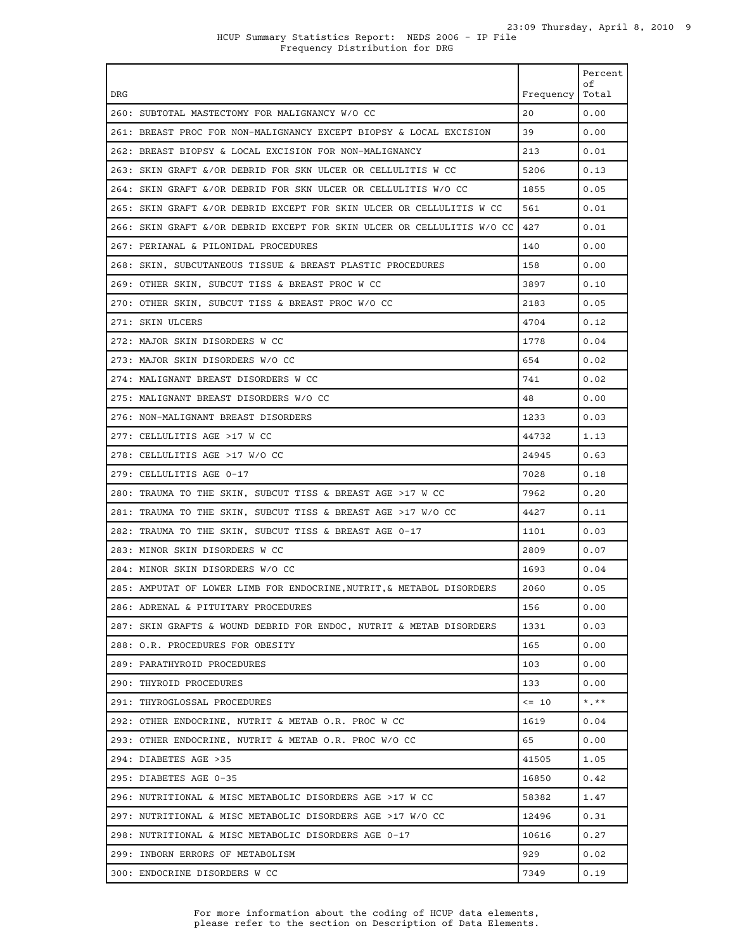|                                                                             |                   | Percent<br>of |
|-----------------------------------------------------------------------------|-------------------|---------------|
| DRG                                                                         | Frequency   Total |               |
| 260: SUBTOTAL MASTECTOMY FOR MALIGNANCY W/O CC                              | 20                | 0.00          |
| 261: BREAST PROC FOR NON-MALIGNANCY EXCEPT BIOPSY & LOCAL EXCISION          | 39                | 0.00          |
| 262: BREAST BIOPSY & LOCAL EXCISION FOR NON-MALIGNANCY                      | 213               | 0.01          |
| 263: SKIN GRAFT &/OR DEBRID FOR SKN ULCER OR CELLULITIS W CC                | 5206              | 0.13          |
| 264: SKIN GRAFT &/OR DEBRID FOR SKN ULCER OR CELLULITIS W/O CC              | 1855              | 0.05          |
| 265: SKIN GRAFT &/OR DEBRID EXCEPT FOR SKIN ULCER OR CELLULITIS W CC        | 561               | 0.01          |
| 266: SKIN GRAFT &/OR DEBRID EXCEPT FOR SKIN ULCER OR CELLULITIS W/O CC 2427 |                   | 0.01          |
| 267: PERIANAL & PILONIDAL PROCEDURES                                        | 140               | 0.00          |
| 268: SKIN, SUBCUTANEOUS TISSUE & BREAST PLASTIC PROCEDURES                  | 158               | 0.00          |
| 269: OTHER SKIN, SUBCUT TISS & BREAST PROC W CC                             | 3897              | 0.10          |
| 270: OTHER SKIN, SUBCUT TISS & BREAST PROC W/O CC                           | 2183              | 0.05          |
| 271: SKIN ULCERS                                                            | 4704              | 0.12          |
| 272: MAJOR SKIN DISORDERS W CC                                              | 1778              | 0.04          |
| 273: MAJOR SKIN DISORDERS W/O CC                                            | 654               | 0.02          |
| 274: MALIGNANT BREAST DISORDERS W CC                                        | 741               | 0.02          |
| 275: MALIGNANT BREAST DISORDERS W/O CC                                      | 48                | 0.00          |
| 276: NON-MALIGNANT BREAST DISORDERS                                         | 1233              | 0.03          |
| 277: CELLULITIS AGE >17 W CC                                                | 44732             | 1.13          |
| 278: CELLULITIS AGE >17 W/O CC                                              | 24945             | 0.63          |
| 279: CELLULITIS AGE 0-17                                                    | 7028              | 0.18          |
| 280: TRAUMA TO THE SKIN, SUBCUT TISS & BREAST AGE >17 W CC                  | 7962              | 0.20          |
| 281: TRAUMA TO THE SKIN, SUBCUT TISS & BREAST AGE >17 W/O CC                | 4427              | 0.11          |
| 282: TRAUMA TO THE SKIN, SUBCUT TISS & BREAST AGE 0-17                      | 1101              | 0.03          |
| 283: MINOR SKIN DISORDERS W CC                                              | 2809              | 0.07          |
| 284: MINOR SKIN DISORDERS W/O CC                                            | 1693              | 0.04          |
| 285: AMPUTAT OF LOWER LIMB FOR ENDOCRINE, NUTRIT, & METABOL DISORDERS       | 2060              | 0.05          |
| 286: ADRENAL & PITUITARY PROCEDURES                                         | 156               | 0.00          |
| 287: SKIN GRAFTS & WOUND DEBRID FOR ENDOC, NUTRIT & METAB DISORDERS         | 1331              | 0.03          |
| 288: O.R. PROCEDURES FOR OBESITY                                            | 165               | 0.00          |
| 289: PARATHYROID PROCEDURES                                                 | 103               | 0.00          |
| 290: THYROID PROCEDURES                                                     | 133               | 0.00          |
| 291: THYROGLOSSAL PROCEDURES                                                | $\leq -10$        | $*$ , $**$    |
| 292: OTHER ENDOCRINE, NUTRIT & METAB O.R. PROC W CC                         | 1619              | 0.04          |
| 293: OTHER ENDOCRINE, NUTRIT & METAB O.R. PROC W/O CC                       | 65                | 0.00          |
| 294: DIABETES AGE >35                                                       | 41505             | 1.05          |
| 295: DIABETES AGE 0-35                                                      | 16850             | 0.42          |
| 296: NUTRITIONAL & MISC METABOLIC DISORDERS AGE >17 W CC                    | 58382             | 1.47          |
| 297: NUTRITIONAL & MISC METABOLIC DISORDERS AGE >17 W/O CC                  | 12496             | 0.31          |
| 298: NUTRITIONAL & MISC METABOLIC DISORDERS AGE 0-17                        | 10616             | 0.27          |
| 299: INBORN ERRORS OF METABOLISM                                            | 929               | 0.02          |
| 300: ENDOCRINE DISORDERS W CC                                               | 7349              | 0.19          |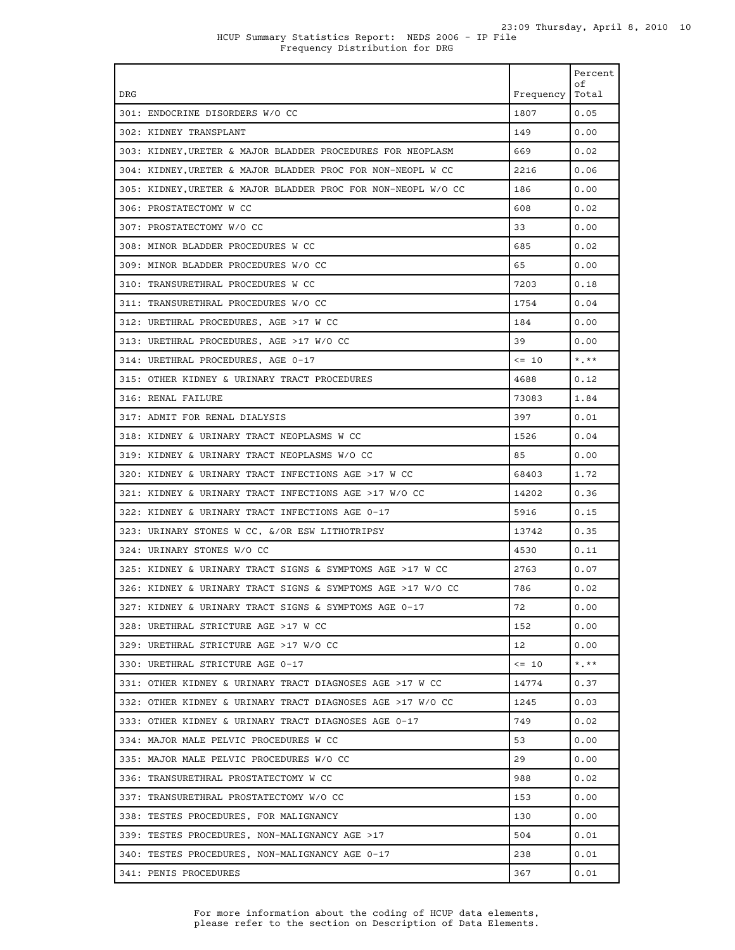HCUP Summary Statistics Report: NEDS 2006 - IP File Frequency Distribution for DRG

|                                                               |           | Percent<br>оf |
|---------------------------------------------------------------|-----------|---------------|
| <b>DRG</b>                                                    | Frequency | Total         |
| 301: ENDOCRINE DISORDERS W/O CC                               | 1807      | 0.05          |
| 302: KIDNEY TRANSPLANT                                        | 149       | 0.00          |
| 303: KIDNEY, URETER & MAJOR BLADDER PROCEDURES FOR NEOPLASM   | 669       | 0.02          |
| 304: KIDNEY, URETER & MAJOR BLADDER PROC FOR NON-NEOPL W CC   | 2216      | 0.06          |
| 305: KIDNEY, URETER & MAJOR BLADDER PROC FOR NON-NEOPL W/O CC | 186       | 0.00          |
| 306: PROSTATECTOMY W CC                                       | 608       | 0.02          |
| 307: PROSTATECTOMY W/O CC                                     | 33        | 0.00          |
| 308: MINOR BLADDER PROCEDURES W CC                            | 685       | 0.02          |
| 309: MINOR BLADDER PROCEDURES W/O CC                          | 65        | 0.00          |
| 310: TRANSURETHRAL PROCEDURES W CC                            | 7203      | 0.18          |
| 311: TRANSURETHRAL PROCEDURES W/O CC                          | 1754      | 0.04          |
| 312: URETHRAL PROCEDURES, AGE >17 W CC                        | 184       | 0.00          |
| 313: URETHRAL PROCEDURES, AGE >17 W/O CC                      | 39        | 0.00          |
| 314: URETHRAL PROCEDURES, AGE 0-17                            | $\leq$ 10 | $*$ , $**$    |
| 315: OTHER KIDNEY & URINARY TRACT PROCEDURES                  | 4688      | 0.12          |
| 316: RENAL FAILURE                                            | 73083     | 1.84          |
| 317: ADMIT FOR RENAL DIALYSIS                                 | 397       | 0.01          |
| 318: KIDNEY & URINARY TRACT NEOPLASMS W CC                    | 1526      | 0.04          |
| 319: KIDNEY & URINARY TRACT NEOPLASMS W/O CC                  | 85        | 0.00          |
| 320: KIDNEY & URINARY TRACT INFECTIONS AGE >17 W CC           | 68403     | 1.72          |
| 321: KIDNEY & URINARY TRACT INFECTIONS AGE >17 W/O CC         | 14202     | 0.36          |
| 322: KIDNEY & URINARY TRACT INFECTIONS AGE 0-17               | 5916      | 0.15          |
| 323: URINARY STONES W CC, &/OR ESW LITHOTRIPSY                | 13742     | 0.35          |
| 324: URINARY STONES W/O CC                                    | 4530      | 0.11          |
| 325: KIDNEY & URINARY TRACT SIGNS & SYMPTOMS AGE >17 W CC     | 2763      | 0.07          |
| 326: KIDNEY & URINARY TRACT SIGNS & SYMPTOMS AGE >17 W/O CC   | 786       | 0.02          |
| 327: KIDNEY & URINARY TRACT SIGNS & SYMPTOMS AGE 0-17         | 72        | 0.00          |
| 328: URETHRAL STRICTURE AGE >17 W CC                          | 152       | 0.00          |
| 329: URETHRAL STRICTURE AGE >17 W/O CC                        | 12        | 0.00          |
| 330: URETHRAL STRICTURE AGE 0-17                              | $\leq$ 10 | $*$ , $**$    |
| 331: OTHER KIDNEY & URINARY TRACT DIAGNOSES AGE >17 W CC      | 14774     | 0.37          |
| 332: OTHER KIDNEY & URINARY TRACT DIAGNOSES AGE >17 W/O CC    | 1245      | 0.03          |
| 333: OTHER KIDNEY & URINARY TRACT DIAGNOSES AGE 0-17          | 749       | 0.02          |
| 334: MAJOR MALE PELVIC PROCEDURES W CC                        | 53        | 0.00          |
| 335: MAJOR MALE PELVIC PROCEDURES W/O CC                      | 29        | 0.00          |
| 336: TRANSURETHRAL PROSTATECTOMY W CC                         | 988       | 0.02          |
| 337: TRANSURETHRAL PROSTATECTOMY W/O CC                       | 153       | 0.00          |
| 338: TESTES PROCEDURES, FOR MALIGNANCY                        | 130       | 0.00          |
| 339: TESTES PROCEDURES, NON-MALIGNANCY AGE >17                | 504       | 0.01          |
| 340: TESTES PROCEDURES, NON-MALIGNANCY AGE 0-17               | 238       | 0.01          |
| 341: PENIS PROCEDURES                                         | 367       | 0.01          |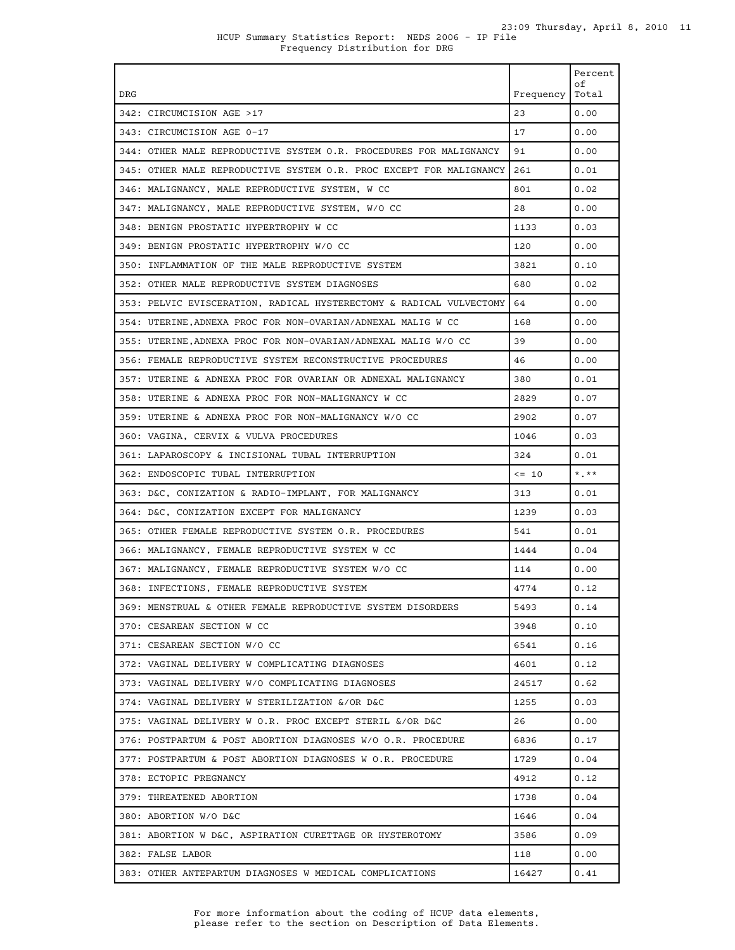Frequency Distribution for DRG

|                                                                     |           | Percent<br>оf |
|---------------------------------------------------------------------|-----------|---------------|
| <b>DRG</b>                                                          | Frequency | Total         |
| 342: CIRCUMCISION AGE >17                                           | 23        | 0.00          |
| 343: CIRCUMCISION AGE 0-17                                          | 17        | 0.00          |
| 344: OTHER MALE REPRODUCTIVE SYSTEM O.R. PROCEDURES FOR MALIGNANCY  | 91        | 0.00          |
| 345: OTHER MALE REPRODUCTIVE SYSTEM O.R. PROC EXCEPT FOR MALIGNANCY | 261       | 0.01          |
| 346: MALIGNANCY, MALE REPRODUCTIVE SYSTEM, W CC                     | 801       | 0.02          |
| 347: MALIGNANCY, MALE REPRODUCTIVE SYSTEM, W/O CC                   | 28        | 0.00          |
| 348: BENIGN PROSTATIC HYPERTROPHY W CC                              | 1133      | 0.03          |
| 349: BENIGN PROSTATIC HYPERTROPHY W/O CC                            | 120       | 0.00          |
| 350: INFLAMMATION OF THE MALE REPRODUCTIVE SYSTEM                   | 3821      | 0.10          |
| 352: OTHER MALE REPRODUCTIVE SYSTEM DIAGNOSES                       | 680       | 0.02          |
| 353: PELVIC EVISCERATION, RADICAL HYSTERECTOMY & RADICAL VULVECTOMY | 64        | 0.00          |
| 354: UTERINE, ADNEXA PROC FOR NON-OVARIAN/ADNEXAL MALIG W CC        | 168       | 0.00          |
| 355: UTERINE,ADNEXA PROC FOR NON-OVARIAN/ADNEXAL MALIG W/O CC       | 39        | 0.00          |
| 356: FEMALE REPRODUCTIVE SYSTEM RECONSTRUCTIVE PROCEDURES           | 46        | 0.00          |
| 357: UTERINE & ADNEXA PROC FOR OVARIAN OR ADNEXAL MALIGNANCY        | 380       | 0.01          |
| 358: UTERINE & ADNEXA PROC FOR NON-MALIGNANCY W CC                  | 2829      | 0.07          |
| 359: UTERINE & ADNEXA PROC FOR NON-MALIGNANCY W/O CC                | 2902      | 0.07          |
| 360: VAGINA, CERVIX & VULVA PROCEDURES                              | 1046      | 0.03          |
| 361: LAPAROSCOPY & INCISIONAL TUBAL INTERRUPTION                    | 324       | 0.01          |
| 362: ENDOSCOPIC TUBAL INTERRUPTION                                  | $\leq$ 10 | $*$ , $**$    |
| 363: D&C, CONIZATION & RADIO-IMPLANT, FOR MALIGNANCY                | 313       | 0.01          |
| 364: D&C. CONIZATION EXCEPT FOR MALIGNANCY                          | 1239      | 0.03          |
| 365: OTHER FEMALE REPRODUCTIVE SYSTEM O.R. PROCEDURES               | 541       | 0.01          |
| 366: MALIGNANCY, FEMALE REPRODUCTIVE SYSTEM W CC                    | 1444      | 0.04          |
| 367: MALIGNANCY, FEMALE REPRODUCTIVE SYSTEM W/O CC                  | 114       | 0.00          |
| 368: INFECTIONS, FEMALE REPRODUCTIVE SYSTEM                         | 4774      | 0.12          |
| 369: MENSTRUAL & OTHER FEMALE REPRODUCTIVE SYSTEM DISORDERS         | 5493      | 0.14          |
| 370: CESAREAN SECTION W CC                                          | 3948      | 0.10          |
| 371: CESAREAN SECTION W/O CC                                        | 6541      | 0.16          |
| 372: VAGINAL DELIVERY W COMPLICATING DIAGNOSES                      | 4601      | 0.12          |
| 373: VAGINAL DELIVERY W/O COMPLICATING DIAGNOSES                    | 24517     | 0.62          |
| 374: VAGINAL DELIVERY W STERILIZATION &/OR D&C                      | 1255      | 0.03          |
| 375: VAGINAL DELIVERY W O.R. PROC EXCEPT STERIL &/OR D&C            | 26        | 0.00          |
| 376: POSTPARTUM & POST ABORTION DIAGNOSES W/O O.R. PROCEDURE        | 6836      | 0.17          |
| 377: POSTPARTUM & POST ABORTION DIAGNOSES W O.R. PROCEDURE          | 1729      | 0.04          |
| 378: ECTOPIC PREGNANCY                                              | 4912      | 0.12          |
| 379: THREATENED ABORTION                                            | 1738      | 0.04          |
| 380: ABORTION W/O D&C                                               | 1646      | 0.04          |
| 381: ABORTION W D&C, ASPIRATION CURETTAGE OR HYSTEROTOMY            | 3586      | 0.09          |
| 382: FALSE LABOR                                                    | 118       | 0.00          |
| 383: OTHER ANTEPARTUM DIAGNOSES W MEDICAL COMPLICATIONS             | 16427     | 0.41          |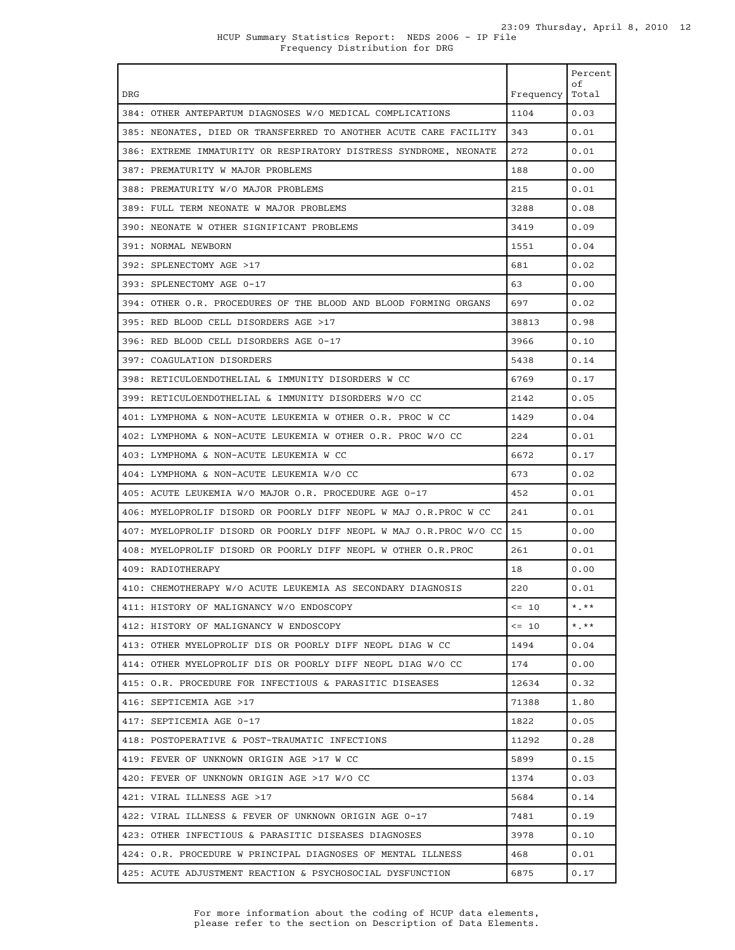| <b>DRG</b>                                                         | Frequency | Percent<br>оf<br>Total       |
|--------------------------------------------------------------------|-----------|------------------------------|
| 384: OTHER ANTEPARTUM DIAGNOSES W/O MEDICAL COMPLICATIONS          | 1104      | 0.03                         |
| 385: NEONATES, DIED OR TRANSFERRED TO ANOTHER ACUTE CARE FACILITY  | 343       | 0.01                         |
| 386: EXTREME IMMATURITY OR RESPIRATORY DISTRESS SYNDROME, NEONATE  | 272       | 0.01                         |
| 387: PREMATURITY W MAJOR PROBLEMS                                  | 188       | 0.00                         |
|                                                                    |           |                              |
| 388: PREMATURITY W/O MAJOR PROBLEMS                                | 215       | 0.01                         |
| 389: FULL TERM NEONATE W MAJOR PROBLEMS                            | 3288      | 0.08                         |
| 390: NEONATE W OTHER SIGNIFICANT PROBLEMS                          | 3419      | 0.09                         |
| 391: NORMAL NEWBORN                                                | 1551      | 0.04                         |
| 392: SPLENECTOMY AGE >17                                           | 681       | 0.02                         |
| 393: SPLENECTOMY AGE 0-17                                          | 63        | 0.00                         |
| 394: OTHER O.R. PROCEDURES OF THE BLOOD AND BLOOD FORMING ORGANS   | 697       | 0.02                         |
| 395: RED BLOOD CELL DISORDERS AGE >17                              | 38813     | 0.98                         |
| 396: RED BLOOD CELL DISORDERS AGE 0-17                             | 3966      | 0.10                         |
| 397: COAGULATION DISORDERS                                         | 5438      | 0.14                         |
| 398: RETICULOENDOTHELIAL & IMMUNITY DISORDERS W CC                 | 6769      | 0.17                         |
| 399: RETICULOENDOTHELIAL & IMMUNITY DISORDERS W/O CC               | 2142      | 0.05                         |
| 401: LYMPHOMA & NON-ACUTE LEUKEMIA W OTHER O.R. PROC W CC          | 1429      | 0.04                         |
| 402: LYMPHOMA & NON-ACUTE LEUKEMIA W OTHER O.R. PROC W/O CC        | 224       | 0.01                         |
| 403: LYMPHOMA & NON-ACUTE LEUKEMIA W CC                            | 6672      | 0.17                         |
| 404: LYMPHOMA & NON-ACUTE LEUKEMIA W/O CC                          | 673       | 0.02                         |
| 405: ACUTE LEUKEMIA W/O MAJOR O.R. PROCEDURE AGE 0-17              | 452       | 0.01                         |
| 406: MYELOPROLIF DISORD OR POORLY DIFF NEOPL W MAJ O.R.PROC W CC   | 241       | 0.01                         |
| 407: MYELOPROLIF DISORD OR POORLY DIFF NEOPL W MAJ O.R.PROC W/O CC | 15        | 0.00                         |
| 408: MYELOPROLIF DISORD OR POORLY DIFF NEOPL W OTHER O.R.PROC      | 261       | 0.01                         |
| 409: RADIOTHERAPY                                                  | 18        | 0.00                         |
| 410: CHEMOTHERAPY W/O ACUTE LEUKEMIA AS SECONDARY DIAGNOSIS        | 220       | 0.01                         |
| 411: HISTORY OF MALIGNANCY W/O ENDOSCOPY                           | $\leq 10$ | $^{\star}$ . $^{\star\star}$ |
| 412: HISTORY OF MALIGNANCY W ENDOSCOPY                             | $\leq$ 10 | $*$ . $**$                   |
| 413: OTHER MYELOPROLIF DIS OR POORLY DIFF NEOPL DIAG W CC          | 1494      | 0.04                         |
| 414: OTHER MYELOPROLIF DIS OR POORLY DIFF NEOPL DIAG W/O CC        | 174       | 0.00                         |
| 415: O.R. PROCEDURE FOR INFECTIOUS & PARASITIC DISEASES            | 12634     | 0.32                         |
| 416: SEPTICEMIA AGE >17                                            | 71388     | 1.80                         |
| 417: SEPTICEMIA AGE 0-17                                           | 1822      | 0.05                         |
| 418: POSTOPERATIVE & POST-TRAUMATIC INFECTIONS                     | 11292     | 0.28                         |
| 419: FEVER OF UNKNOWN ORIGIN AGE >17 W CC                          | 5899      | 0.15                         |
| 420: FEVER OF UNKNOWN ORIGIN AGE >17 W/O CC                        | 1374      | 0.03                         |
| 421: VIRAL ILLNESS AGE >17                                         | 5684      | 0.14                         |
| 422: VIRAL ILLNESS & FEVER OF UNKNOWN ORIGIN AGE 0-17              | 7481      | 0.19                         |
| 423: OTHER INFECTIOUS & PARASITIC DISEASES DIAGNOSES               | 3978      | 0.10                         |
| 424: O.R. PROCEDURE W PRINCIPAL DIAGNOSES OF MENTAL ILLNESS        | 468       | 0.01                         |
| 425: ACUTE ADJUSTMENT REACTION & PSYCHOSOCIAL DYSFUNCTION          | 6875      | 0.17                         |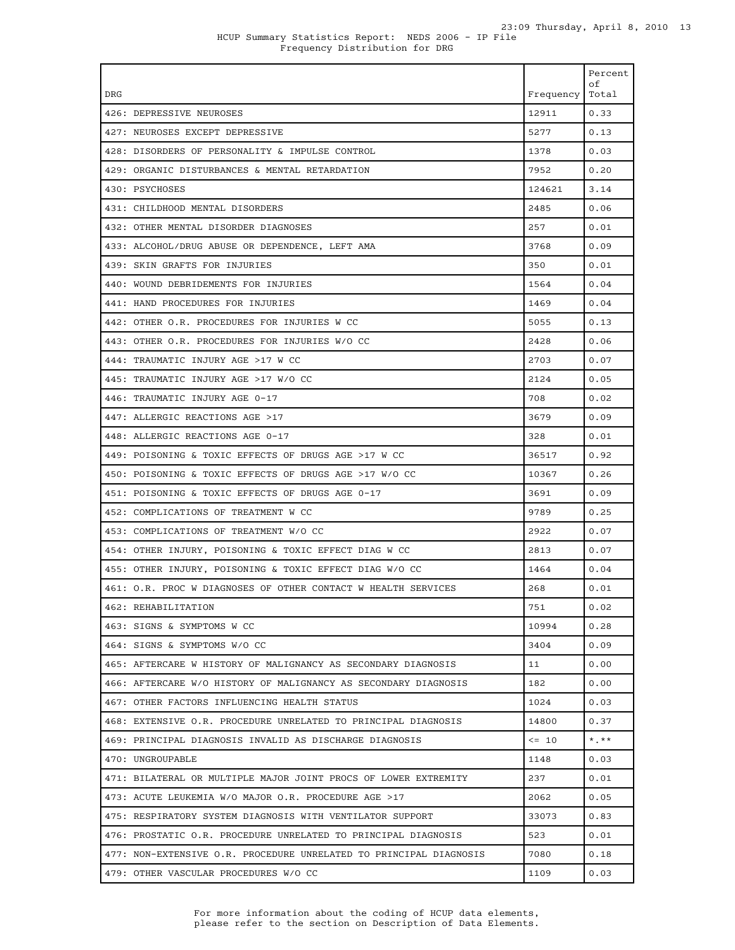| DRG                                                                | Frequency | Percent<br>οf<br>Total |
|--------------------------------------------------------------------|-----------|------------------------|
| 426: DEPRESSIVE NEUROSES                                           | 12911     | 0.33                   |
| 427: NEUROSES EXCEPT DEPRESSIVE                                    | 5277      | 0.13                   |
| 428: DISORDERS OF PERSONALITY & IMPULSE CONTROL                    | 1378      | 0.03                   |
| 429: ORGANIC DISTURBANCES & MENTAL RETARDATION                     | 7952      | 0.20                   |
| 430: PSYCHOSES                                                     | 124621    | 3.14                   |
| 431: CHILDHOOD MENTAL DISORDERS                                    | 2485      | 0.06                   |
| 432: OTHER MENTAL DISORDER DIAGNOSES                               | 257       | 0.01                   |
| 433: ALCOHOL/DRUG ABUSE OR DEPENDENCE, LEFT AMA                    | 3768      | 0.09                   |
| 439: SKIN GRAFTS FOR INJURIES                                      | 350       | 0.01                   |
| 440: WOUND DEBRIDEMENTS FOR INJURIES                               | 1564      | 0.04                   |
| 441: HAND PROCEDURES FOR INJURIES                                  | 1469      | 0.04                   |
| 442: OTHER O.R. PROCEDURES FOR INJURIES W CC                       | 5055      | 0.13                   |
| 443: OTHER O.R. PROCEDURES FOR INJURIES W/O CC                     | 2428      | 0.06                   |
| 444: TRAUMATIC INJURY AGE >17 W CC                                 | 2703      | 0.07                   |
| 445: TRAUMATIC INJURY AGE >17 W/O CC                               | 2124      | 0.05                   |
| 446: TRAUMATIC INJURY AGE 0-17                                     | 708       | 0.02                   |
| 447: ALLERGIC REACTIONS AGE >17                                    | 3679      | 0.09                   |
| 448: ALLERGIC REACTIONS AGE 0-17                                   | 328       | 0.01                   |
| 449: POISONING & TOXIC EFFECTS OF DRUGS AGE >17 W CC               | 36517     | 0.92                   |
| 450: POISONING & TOXIC EFFECTS OF DRUGS AGE >17 W/O CC             | 10367     | 0.26                   |
| 451: POISONING & TOXIC EFFECTS OF DRUGS AGE 0-17                   | 3691      | 0.09                   |
| 452: COMPLICATIONS OF TREATMENT W CC                               | 9789      | 0.25                   |
| 453: COMPLICATIONS OF TREATMENT W/O CC                             | 2922      | 0.07                   |
| 454: OTHER INJURY, POISONING & TOXIC EFFECT DIAG W CC              | 2813      | 0.07                   |
| 455: OTHER INJURY, POISONING & TOXIC EFFECT DIAG W/O CC            | 1464      | 0.04                   |
| 461: O.R. PROC W DIAGNOSES OF OTHER CONTACT W HEALTH SERVICES      | 268       | 0.01                   |
| 462: REHABILITATION                                                | 751       | 0.02                   |
| 463: SIGNS & SYMPTOMS W CC                                         | 10994     | 0.28                   |
| 464: SIGNS & SYMPTOMS W/O CC                                       | 3404      | 0.09                   |
| 465: AFTERCARE W HISTORY OF MALIGNANCY AS SECONDARY DIAGNOSIS      | 11        | 0.00                   |
| 466: AFTERCARE W/O HISTORY OF MALIGNANCY AS SECONDARY DIAGNOSIS    | 182       | 0.00                   |
| 467: OTHER FACTORS INFLUENCING HEALTH STATUS                       | 1024      | 0.03                   |
| 468: EXTENSIVE O.R. PROCEDURE UNRELATED TO PRINCIPAL DIAGNOSIS     | 14800     | 0.37                   |
| 469: PRINCIPAL DIAGNOSIS INVALID AS DISCHARGE DIAGNOSIS            | $\leq$ 10 | $*$ , $**$             |
| 470: UNGROUPABLE                                                   | 1148      | 0.03                   |
| 471: BILATERAL OR MULTIPLE MAJOR JOINT PROCS OF LOWER EXTREMITY    | 237       | 0.01                   |
| 473: ACUTE LEUKEMIA W/O MAJOR O.R. PROCEDURE AGE >17               | 2062      | 0.05                   |
| 475: RESPIRATORY SYSTEM DIAGNOSIS WITH VENTILATOR SUPPORT          | 33073     | 0.83                   |
| 476: PROSTATIC O.R. PROCEDURE UNRELATED TO PRINCIPAL DIAGNOSIS     | 523       | 0.01                   |
| 477: NON-EXTENSIVE O.R. PROCEDURE UNRELATED TO PRINCIPAL DIAGNOSIS | 7080      | 0.18                   |
| 479: OTHER VASCULAR PROCEDURES W/O CC                              | 1109      | 0.03                   |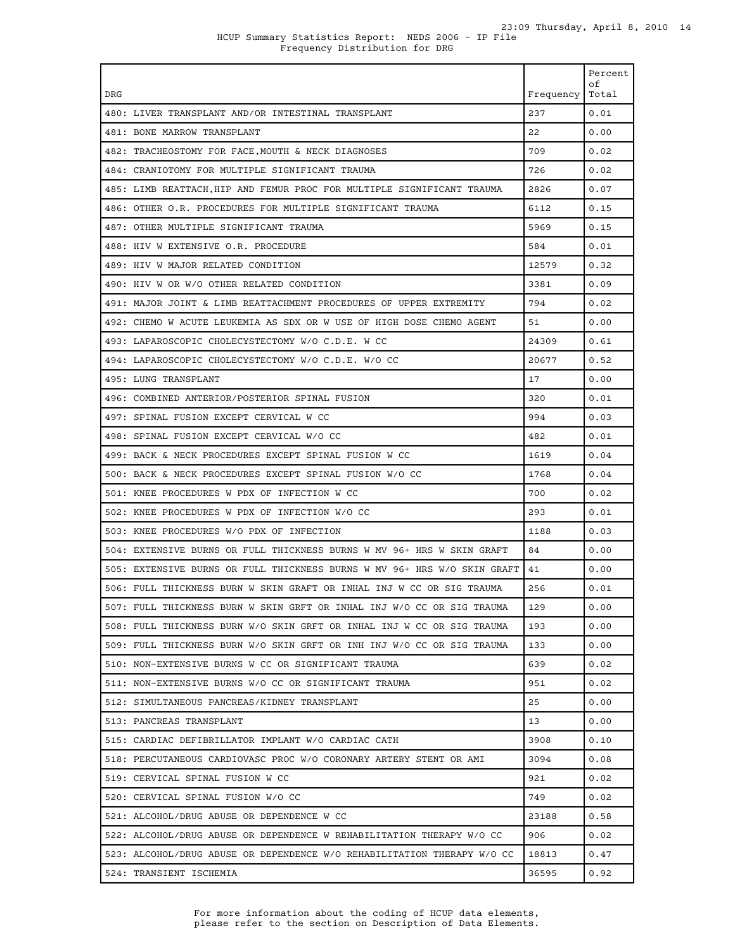| <b>DRG</b>                                                               | Frequency | Percent<br>οf<br>Total |
|--------------------------------------------------------------------------|-----------|------------------------|
| 480: LIVER TRANSPLANT AND/OR INTESTINAL TRANSPLANT                       | 237       | 0.01                   |
| 481: BONE MARROW TRANSPLANT                                              | 22        | 0.00                   |
| 482: TRACHEOSTOMY FOR FACE, MOUTH & NECK DIAGNOSES                       | 709       | 0.02                   |
| 484: CRANIOTOMY FOR MULTIPLE SIGNIFICANT TRAUMA                          | 726       | 0.02                   |
| 485: LIMB REATTACH,HIP AND FEMUR PROC FOR MULTIPLE SIGNIFICANT TRAUMA    | 2826      | 0.07                   |
| 486: OTHER O.R. PROCEDURES FOR MULTIPLE SIGNIFICANT TRAUMA               | 6112      | 0.15                   |
| 487: OTHER MULTIPLE SIGNIFICANT TRAUMA                                   | 5969      | 0.15                   |
| 488: HIV W EXTENSIVE O.R. PROCEDURE                                      | 584       | 0.01                   |
| 489: HIV W MAJOR RELATED CONDITION                                       | 12579     | 0.32                   |
| 490: HIV W OR W/O OTHER RELATED CONDITION                                | 3381      | 0.09                   |
| 491: MAJOR JOINT & LIMB REATTACHMENT PROCEDURES OF UPPER EXTREMITY       | 794       | 0.02                   |
| 492: CHEMO W ACUTE LEUKEMIA AS SDX OR W USE OF HIGH DOSE CHEMO AGENT     | 51        | 0.00                   |
| 493: LAPAROSCOPIC CHOLECYSTECTOMY W/O C.D.E. W CC                        | 24309     | 0.61                   |
| 494: LAPAROSCOPIC CHOLECYSTECTOMY W/O C.D.E. W/O CC                      | 20677     | 0.52                   |
| 495: LUNG TRANSPLANT                                                     | 17        | 0.00                   |
| 496: COMBINED ANTERIOR/POSTERIOR SPINAL FUSION                           | 320       | 0.01                   |
| 497: SPINAL FUSION EXCEPT CERVICAL W CC                                  | 994       | 0.03                   |
| 498: SPINAL FUSION EXCEPT CERVICAL W/O CC                                | 482       | 0.01                   |
| 499: BACK & NECK PROCEDURES EXCEPT SPINAL FUSION W CC                    | 1619      | 0.04                   |
| 500: BACK & NECK PROCEDURES EXCEPT SPINAL FUSION W/O CC                  | 1768      | 0.04                   |
| 501: KNEE PROCEDURES W PDX OF INFECTION W CC                             | 700       | 0.02                   |
| 502: KNEE PROCEDURES W PDX OF INFECTION W/O CC                           | 293       | 0.01                   |
| 503: KNEE PROCEDURES W/O PDX OF INFECTION                                | 1188      | 0.03                   |
| 504: EXTENSIVE BURNS OR FULL THICKNESS BURNS W MV 96+ HRS W SKIN GRAFT   | 84        | 0.00                   |
| 505: EXTENSIVE BURNS OR FULL THICKNESS BURNS W MV 96+ HRS W/O SKIN GRAFT | 41        | 0.00                   |
| 506: FULL THICKNESS BURN W SKIN GRAFT OR INHAL INJ W CC OR SIG TRAUMA    | 256       | 0.01                   |
| 507: FULL THICKNESS BURN W SKIN GRFT OR INHAL INJ W/O CC OR SIG TRAUMA   | 129       | 0.00                   |
| 508: FULL THICKNESS BURN W/O SKIN GRFT OR INHAL INJ W CC OR SIG TRAUMA   | 193       | 0.00                   |
| 509: FULL THICKNESS BURN W/O SKIN GRFT OR INH INJ W/O CC OR SIG TRAUMA   | 133       | 0.00                   |
| 510: NON-EXTENSIVE BURNS W CC OR SIGNIFICANT TRAUMA                      | 639       | 0.02                   |
| 511: NON-EXTENSIVE BURNS W/O CC OR SIGNIFICANT TRAUMA                    | 951       | 0.02                   |
| 512: SIMULTANEOUS PANCREAS/KIDNEY TRANSPLANT                             | 25        | 0.00                   |
| 513: PANCREAS TRANSPLANT                                                 | 13        | 0.00                   |
| 515: CARDIAC DEFIBRILLATOR IMPLANT W/O CARDIAC CATH                      | 3908      | 0.10                   |
| 518: PERCUTANEOUS CARDIOVASC PROC W/O CORONARY ARTERY STENT OR AMI       | 3094      | 0.08                   |
| 519: CERVICAL SPINAL FUSION W CC                                         | 921       | 0.02                   |
| 520: CERVICAL SPINAL FUSION W/O CC                                       | 749       | 0.02                   |
| 521: ALCOHOL/DRUG ABUSE OR DEPENDENCE W CC                               | 23188     | 0.58                   |
| 522: ALCOHOL/DRUG ABUSE OR DEPENDENCE W REHABILITATION THERAPY W/O CC    | 906       | 0.02                   |
| 523: ALCOHOL/DRUG ABUSE OR DEPENDENCE W/O REHABILITATION THERAPY W/O CC  | 18813     | 0.47                   |
| 524: TRANSIENT ISCHEMIA                                                  | 36595     | 0.92                   |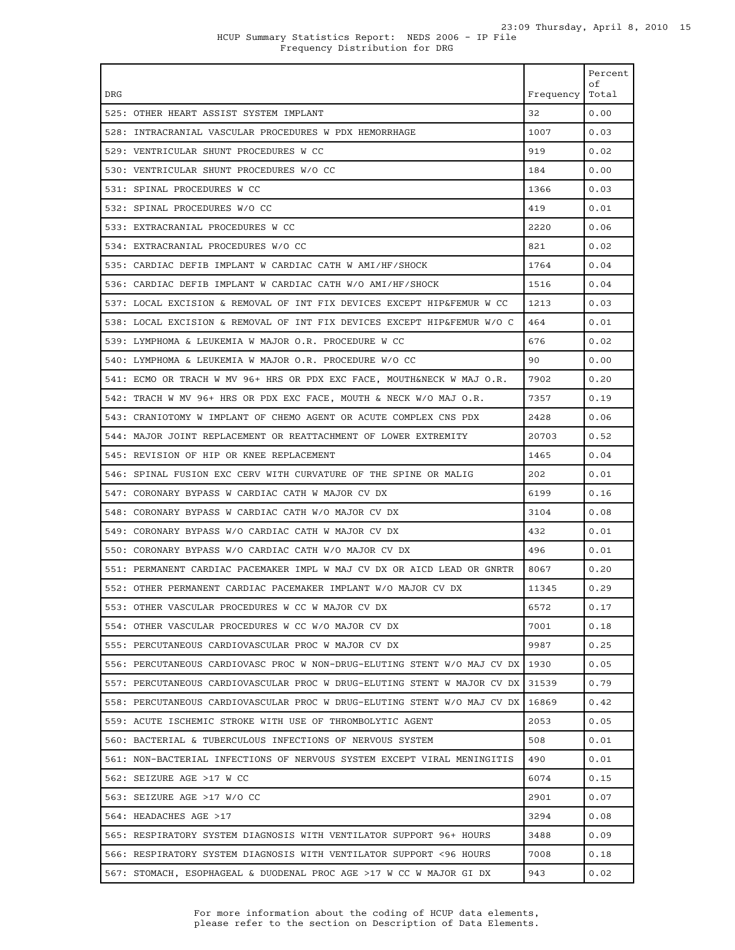|                                                                          |           | Percent<br>оf |
|--------------------------------------------------------------------------|-----------|---------------|
| DRG                                                                      | Frequency | Total         |
| 525: OTHER HEART ASSIST SYSTEM IMPLANT                                   | 32        | 0.00          |
| 528: INTRACRANIAL VASCULAR PROCEDURES W PDX HEMORRHAGE                   | 1007      | 0.03          |
| 529: VENTRICULAR SHUNT PROCEDURES W CC                                   | 919       | 0.02          |
| 530: VENTRICULAR SHUNT PROCEDURES W/O CC                                 | 184       | 0.00          |
| 531: SPINAL PROCEDURES W CC                                              | 1366      | 0.03          |
| 532: SPINAL PROCEDURES W/O CC                                            | 419       | 0.01          |
| 533: EXTRACRANIAL PROCEDURES W CC                                        | 2220      | 0.06          |
| 534: EXTRACRANIAL PROCEDURES W/O CC                                      | 821       | 0.02          |
| 535: CARDIAC DEFIB IMPLANT W CARDIAC CATH W AMI/HF/SHOCK                 | 1764      | 0.04          |
| 536: CARDIAC DEFIB IMPLANT W CARDIAC CATH W/O AMI/HF/SHOCK               | 1516      | 0.04          |
| 537: LOCAL EXCISION & REMOVAL OF INT FIX DEVICES EXCEPT HIP&FEMUR W CC   | 1213      | 0.03          |
| 538: LOCAL EXCISION & REMOVAL OF INT FIX DEVICES EXCEPT HIP&FEMUR W/O C  | 464       | 0.01          |
| 539: LYMPHOMA & LEUKEMIA W MAJOR O.R. PROCEDURE W CC                     | 676       | 0.02          |
| 540: LYMPHOMA & LEUKEMIA W MAJOR O.R. PROCEDURE W/O CC                   | 90        | 0.00          |
| 541: ECMO OR TRACH W MV 96+ HRS OR PDX EXC FACE, MOUTH&NECK W MAJ O.R.   | 7902      | 0.20          |
| 542: TRACH W MV 96+ HRS OR PDX EXC FACE, MOUTH & NECK W/O MAJ O.R.       | 7357      | 0.19          |
| 543: CRANIOTOMY W IMPLANT OF CHEMO AGENT OR ACUTE COMPLEX CNS PDX        | 2428      | 0.06          |
| 544: MAJOR JOINT REPLACEMENT OR REATTACHMENT OF LOWER EXTREMITY          | 20703     | 0.52          |
| 545: REVISION OF HIP OR KNEE REPLACEMENT                                 | 1465      | 0.04          |
| 546: SPINAL FUSION EXC CERV WITH CURVATURE OF THE SPINE OR MALIG         | 202       | 0.01          |
| 547: CORONARY BYPASS W CARDIAC CATH W MAJOR CV DX                        | 6199      | 0.16          |
| 548: CORONARY BYPASS W CARDIAC CATH W/O MAJOR CV DX                      | 3104      | 0.08          |
| 549: CORONARY BYPASS W/O CARDIAC CATH W MAJOR CV DX                      | 432       | 0.01          |
| 550: CORONARY BYPASS W/O CARDIAC CATH W/O MAJOR CV DX                    | 496       | 0.01          |
| 551: PERMANENT CARDIAC PACEMAKER IMPL W MAJ CV DX OR AICD LEAD OR GNRTR  | 8067      | 0.20          |
| 552: OTHER PERMANENT CARDIAC PACEMAKER IMPLANT W/O MAJOR CV DX           | 11345     | 0.29          |
| 553: OTHER VASCULAR PROCEDURES W CC W MAJOR CV DX                        | 6572      | 0.17          |
| 554: OTHER VASCULAR PROCEDURES W CC W/O MAJOR CV DX                      | 7001      | 0.18          |
| 555: PERCUTANEOUS CARDIOVASCULAR PROC W MAJOR CV DX                      | 9987      | 0.25          |
| 556: PERCUTANEOUS CARDIOVASC PROC W NON-DRUG-ELUTING STENT W/O MAJ CV DX | 1930      | 0.05          |
| 557: PERCUTANEOUS CARDIOVASCULAR PROC W DRUG-ELUTING STENT W MAJOR CV DX | 31539     | 0.79          |
| 558: PERCUTANEOUS CARDIOVASCULAR PROC W DRUG-ELUTING STENT W/O MAJ CV DX | 16869     | 0.42          |
| 559: ACUTE ISCHEMIC STROKE WITH USE OF THROMBOLYTIC AGENT                | 2053      | 0.05          |
| 560: BACTERIAL & TUBERCULOUS INFECTIONS OF NERVOUS SYSTEM                | 508       | 0.01          |
| 561: NON-BACTERIAL INFECTIONS OF NERVOUS SYSTEM EXCEPT VIRAL MENINGITIS  | 490       | 0.01          |
| 562: SEIZURE AGE >17 W CC                                                | 6074      | 0.15          |
| 563: SEIZURE AGE >17 W/O CC                                              | 2901      | 0.07          |
| 564: HEADACHES AGE >17                                                   | 3294      | 0.08          |
| 565: RESPIRATORY SYSTEM DIAGNOSIS WITH VENTILATOR SUPPORT 96+ HOURS      | 3488      | 0.09          |
| 566: RESPIRATORY SYSTEM DIAGNOSIS WITH VENTILATOR SUPPORT < 96 HOURS     | 7008      | 0.18          |
| 567: STOMACH, ESOPHAGEAL & DUODENAL PROC AGE >17 W CC W MAJOR GI DX      | 943       | 0.02          |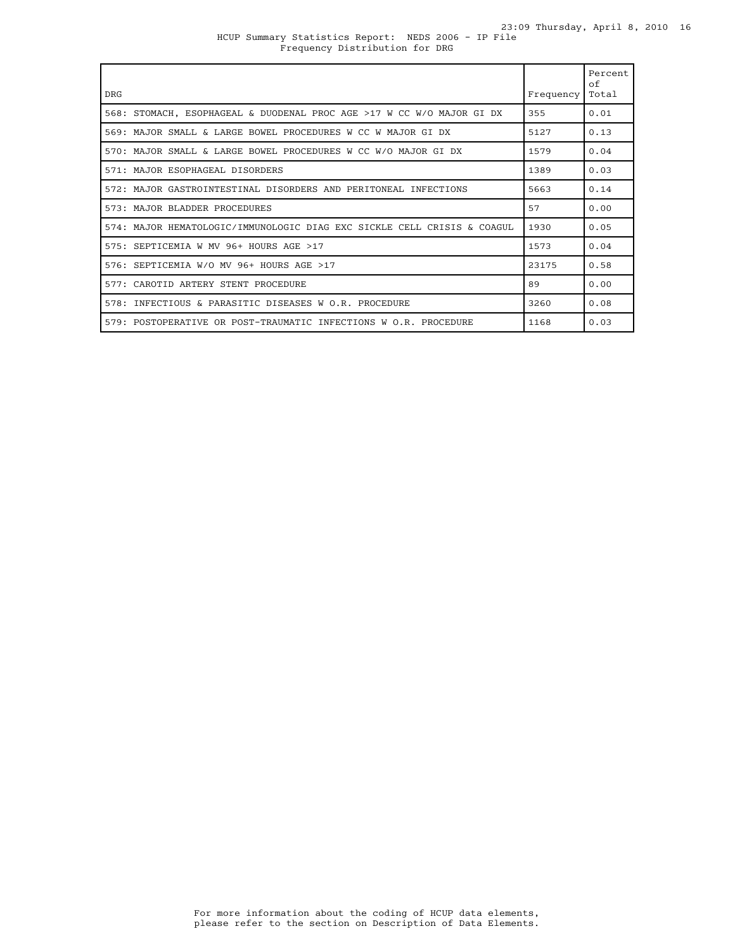### HCUP Summary Statistics Report: NEDS 2006 - IP File Frequency Distribution for DRG

| <b>DRG</b>                                                              | Frequency | Percent<br>$\circ$ f<br>Total |
|-------------------------------------------------------------------------|-----------|-------------------------------|
| 568: STOMACH, ESOPHAGEAL & DUODENAL PROC AGE >17 W CC W/O MAJOR GI DX   | 355       | 0.01                          |
| 569: MAJOR SMALL & LARGE BOWEL PROCEDURES W CC W MAJOR GI DX            | 5127      | 0.13                          |
| 570: MAJOR SMALL & LARGE BOWEL PROCEDURES W CC W/O MAJOR GI DX          | 1579      | 0.04                          |
| 571: MAJOR ESOPHAGEAL DISORDERS                                         | 1389      | 0.03                          |
| 572: MAJOR GASTROINTESTINAL DISORDERS AND PERITONEAL INFECTIONS         | 5663      | 0.14                          |
| 573: MAJOR BLADDER PROCEDURES                                           | 57        | 0.00                          |
| 574: MAJOR HEMATOLOGIC/IMMUNOLOGIC DIAG EXC SICKLE CELL CRISIS & COAGUL | 1930      | 0.05                          |
| 575: SEPTICEMIA W MV 96+ HOURS AGE >17                                  | 1573      | 0.04                          |
| 576: SEPTICEMIA W/O MV 96+ HOURS AGE >17                                | 23175     | 0.58                          |
| 577: CAROTID ARTERY STENT PROCEDURE                                     | 89        | 0.00                          |
| 578: INFECTIOUS & PARASITIC DISEASES W O.R. PROCEDURE                   | 3260      | 0.08                          |
| 579: POSTOPERATIVE OR POST-TRAUMATIC INFECTIONS W O.R. PROCEDURE        | 1168      | 0.03                          |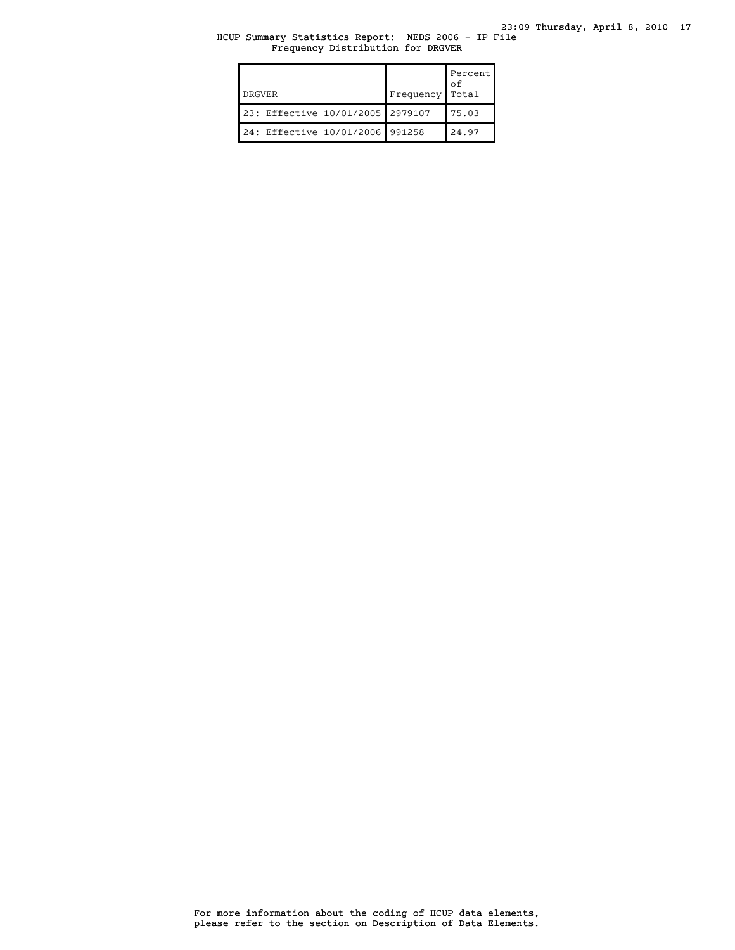## HCUP Summary Statistics Report: NEDS 2006 - IP File Frequency Distribution for DRGVER

| <b>DRGVER</b>                    | Frequency | Percent<br>οf<br>Total |
|----------------------------------|-----------|------------------------|
| 23: Effective 10/01/2005 2979107 |           | 75.03                  |
| 24: Effective 10/01/2006         | 991258    | 24.97                  |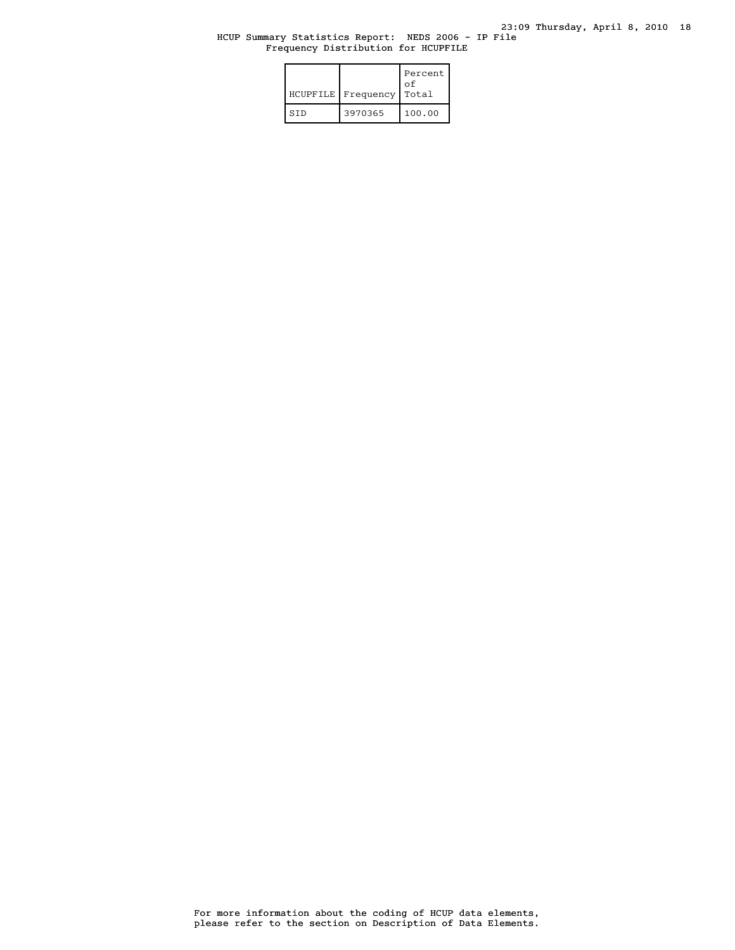## HCUP Summary Statistics Report: NEDS 2006 - IP File Frequency Distribution for HCUPFILE

| HCUPFILE   | Frequency | Percent<br>οf<br>Total |
|------------|-----------|------------------------|
| <b>STD</b> | 3970365   | 100.00                 |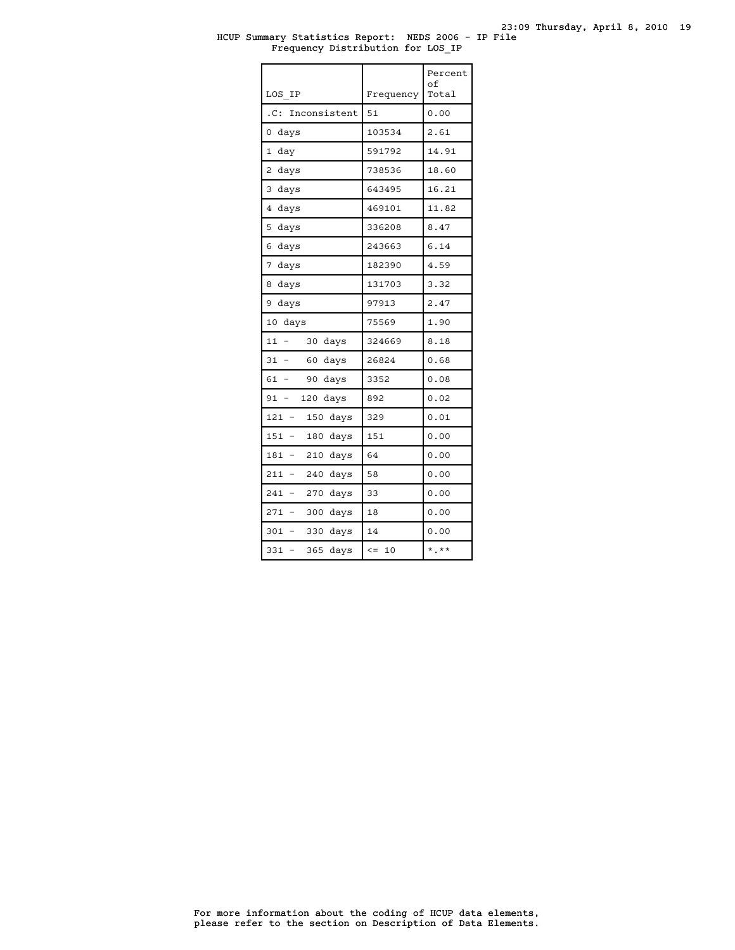### HCUP Summary Statistics Report: NEDS 2006 - IP File Frequency Distribution for LOS\_IP

| LOS IP                                        | Frequency        | Percent<br>оf<br>Total |
|-----------------------------------------------|------------------|------------------------|
| Inconsistent<br>.C:                           | 51               | 0.00                   |
| 0<br>days                                     | 103534           | 2.61                   |
| $\mathbf{1}$<br>day                           | 591792           | 14.91                  |
| 2<br>days                                     | 738536           | 18.60                  |
| 3<br>days                                     | 643495           | 16.21                  |
| 4<br>days                                     | 469101           | 11.82                  |
| 5<br>days                                     | 336208           | 8.47                   |
| 6<br>days                                     | 243663           | 6.14                   |
| 7<br>days                                     | 182390           | 4.59                   |
| 8<br>days                                     | 131703           | 3.32                   |
| 9<br>days                                     | 97913            | 2.47                   |
| 10<br>days                                    | 75569            | 1.90                   |
| 11<br>30<br>days                              | 324669           | 8.18                   |
| 31<br>60<br>days                              | 26824            | 0.68                   |
| 61<br>90<br>days<br>$\overline{\phantom{0}}$  | 3352             | 0.08                   |
| 120<br>91<br>$\overline{\phantom{0}}$<br>days | 892              | 0.02                   |
| 121<br>150<br>days<br>÷                       | 329              | 0.01                   |
| 151<br>180<br>days<br>-                       | 151              | 0.00                   |
| 181<br>210<br>days                            | 64               | 0.00                   |
| 211<br>240<br>days                            | 58               | 0.00                   |
| 241<br>270<br>days                            | 33               | 0.00                   |
| 271<br>300<br>days<br>$\overline{a}$          | 18               | 0.00                   |
| 301<br>330<br>days                            | 14               | 0.00                   |
| 331<br>365<br>days<br>-                       | $\leq$ $=$<br>10 | $*$ .**                |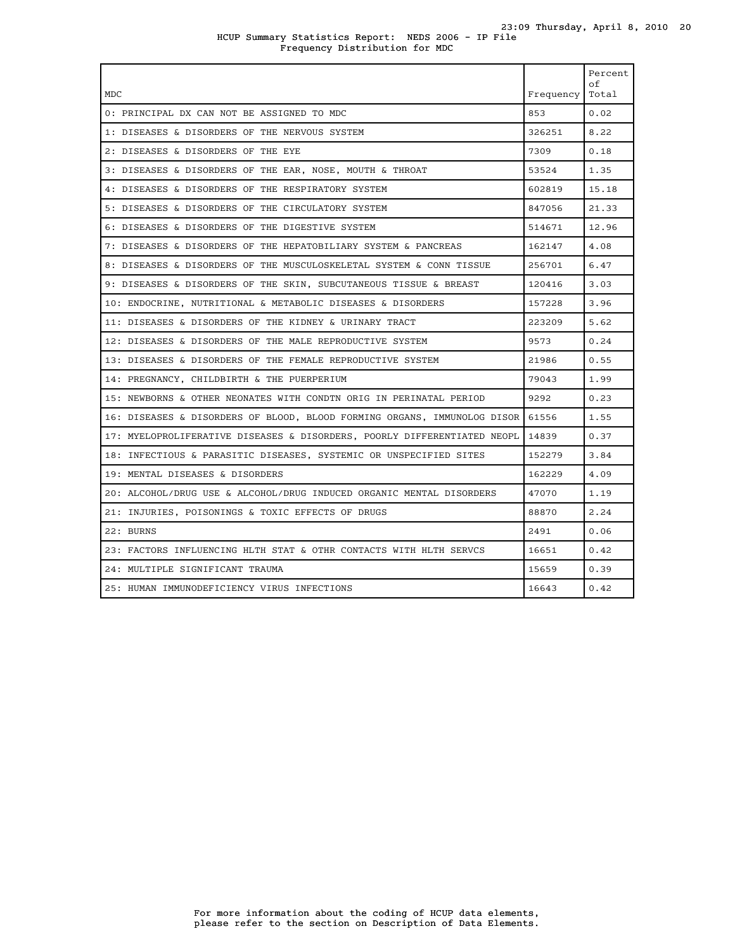## HCUP Summary Statistics Report: NEDS 2006 - IP File Frequency Distribution for MDC

| MDC                                                                            | Frequency | Percent<br>оf<br>Total |
|--------------------------------------------------------------------------------|-----------|------------------------|
| 0: PRINCIPAL DX CAN NOT BE ASSIGNED TO MDC                                     | 853       | 0.02                   |
| 1: DISEASES & DISORDERS OF THE NERVOUS SYSTEM                                  | 326251    | 8.22                   |
| 2: DISEASES & DISORDERS OF THE EYE                                             | 7309      | 0.18                   |
| 3: DISEASES & DISORDERS OF THE EAR, NOSE, MOUTH & THROAT                       | 53524     | 1.35                   |
| 4: DISEASES & DISORDERS OF THE RESPIRATORY SYSTEM                              | 602819    | 15.18                  |
| 5: DISEASES & DISORDERS OF THE CIRCULATORY SYSTEM                              | 847056    | 21.33                  |
| 6: DISEASES & DISORDERS OF THE DIGESTIVE SYSTEM                                | 514671    | 12.96                  |
| 7: DISEASES & DISORDERS OF THE HEPATOBILIARY SYSTEM & PANCREAS                 | 162147    | 4.08                   |
| 8: DISEASES & DISORDERS OF THE MUSCULOSKELETAL SYSTEM & CONN TISSUE            | 256701    | 6.47                   |
| 9: DISEASES & DISORDERS OF THE SKIN, SUBCUTANEOUS TISSUE & BREAST              | 120416    | 3.03                   |
| 10: ENDOCRINE, NUTRITIONAL & METABOLIC DISEASES & DISORDERS                    | 157228    | 3.96                   |
| 11: DISEASES & DISORDERS OF THE KIDNEY & URINARY TRACT                         | 223209    | 5.62                   |
| 12: DISEASES & DISORDERS OF THE MALE REPRODUCTIVE SYSTEM                       | 9573      | 0.24                   |
| 13: DISEASES & DISORDERS OF THE FEMALE REPRODUCTIVE SYSTEM                     | 21986     | 0.55                   |
| 14: PREGNANCY, CHILDBIRTH & THE PUERPERIUM                                     | 79043     | 1.99                   |
| 15: NEWBORNS & OTHER NEONATES WITH CONDTN ORIG IN PERINATAL PERIOD             | 9292      | 0.23                   |
| 16: DISEASES & DISORDERS OF BLOOD, BLOOD FORMING ORGANS, IMMUNOLOG DISOR 61556 |           | 1.55                   |
| 17: MYELOPROLIFERATIVE DISEASES & DISORDERS, POORLY DIFFERENTIATED NEOPL       | 14839     | 0.37                   |
| 18: INFECTIOUS & PARASITIC DISEASES, SYSTEMIC OR UNSPECIFIED SITES             | 152279    | 3.84                   |
| 19: MENTAL DISEASES & DISORDERS                                                | 162229    | 4.09                   |
| 20: ALCOHOL/DRUG USE & ALCOHOL/DRUG INDUCED ORGANIC MENTAL DISORDERS           | 47070     | 1.19                   |
| 21: INJURIES, POISONINGS & TOXIC EFFECTS OF DRUGS                              | 88870     | 2.24                   |
| 22: BURNS                                                                      | 2491      | 0.06                   |
| 23: FACTORS INFLUENCING HLTH STAT & OTHR CONTACTS WITH HLTH SERVCS             | 16651     | 0.42                   |
| 24: MULTIPLE SIGNIFICANT TRAUMA                                                | 15659     | 0.39                   |
| 25: HUMAN IMMUNODEFICIENCY VIRUS INFECTIONS                                    | 16643     | 0.42                   |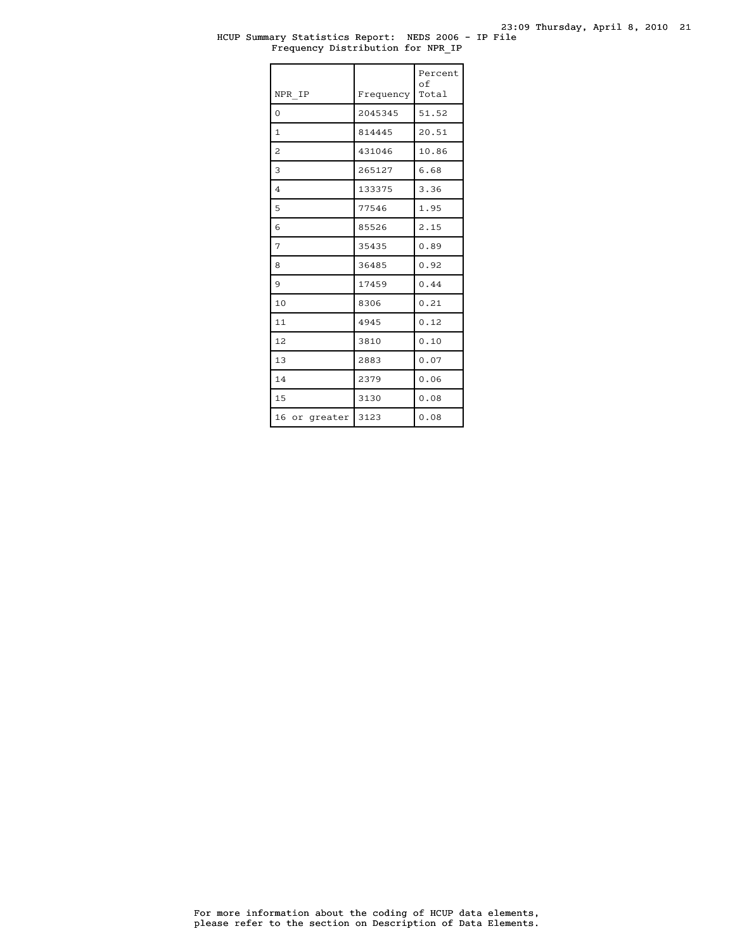## HCUP Summary Statistics Report: NEDS 2006 - IP File Frequency Distribution for NPR\_IP

| NPR IP                  | Frequency | Percent<br>of<br>Total |
|-------------------------|-----------|------------------------|
| $\Omega$                | 2045345   | 51.52                  |
| $\mathbf{1}$            | 814445    | 20.51                  |
| $\overline{\mathbf{c}}$ | 431046    | 10.86                  |
| 3                       | 265127    | 6.68                   |
| $\overline{4}$          | 133375    | 3.36                   |
| 5                       | 77546     | 1.95                   |
| 6                       | 85526     | 2.15                   |
| 7                       | 35435     | 0.89                   |
| 8                       | 36485     | 0.92                   |
| 9                       | 17459     | 0.44                   |
| 10                      | 8306      | 0.21                   |
| 11                      | 4945      | 0.12                   |
| 12                      | 3810      | 0.10                   |
| 13                      | 2883      | 0.07                   |
| 14                      | 2379      | 0.06                   |
| 1.5                     | 3130      | 0.08                   |
| 16 or greater           | 3123      | 0.08                   |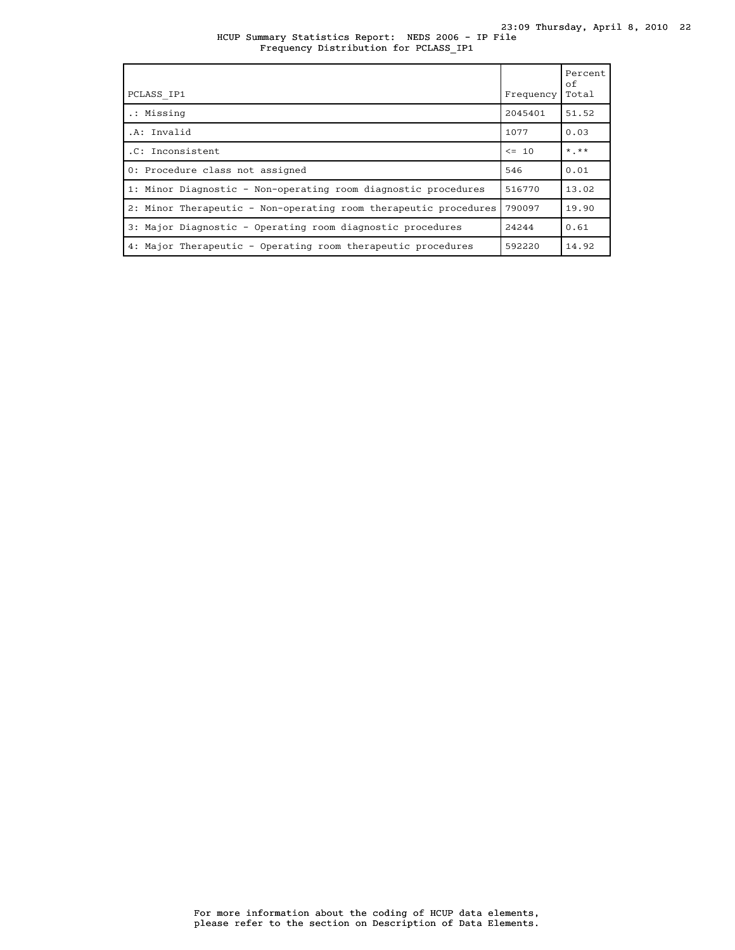## HCUP Summary Statistics Report: NEDS 2006 - IP File Frequency Distribution for PCLASS\_IP1

| PCLASS IP1                                                       | Frequency | Percent<br>of<br>Total |
|------------------------------------------------------------------|-----------|------------------------|
| .: Missing                                                       | 2045401   | 51.52                  |
| .A: Invalid                                                      | 1077      | 0.03                   |
| .C: Inconsistent                                                 | $\leq$ 10 | $*$ , $**$             |
| 0: Procedure class not assigned                                  | 546       | 0.01                   |
| 1: Minor Diagnostic - Non-operating room diagnostic procedures   | 516770    | 13.02                  |
| 2: Minor Therapeutic - Non-operating room therapeutic procedures | 790097    | 19.90                  |
| 3: Major Diagnostic - Operating room diagnostic procedures       | 24244     | 0.61                   |
| 4: Major Therapeutic - Operating room therapeutic procedures     | 592220    | 14.92                  |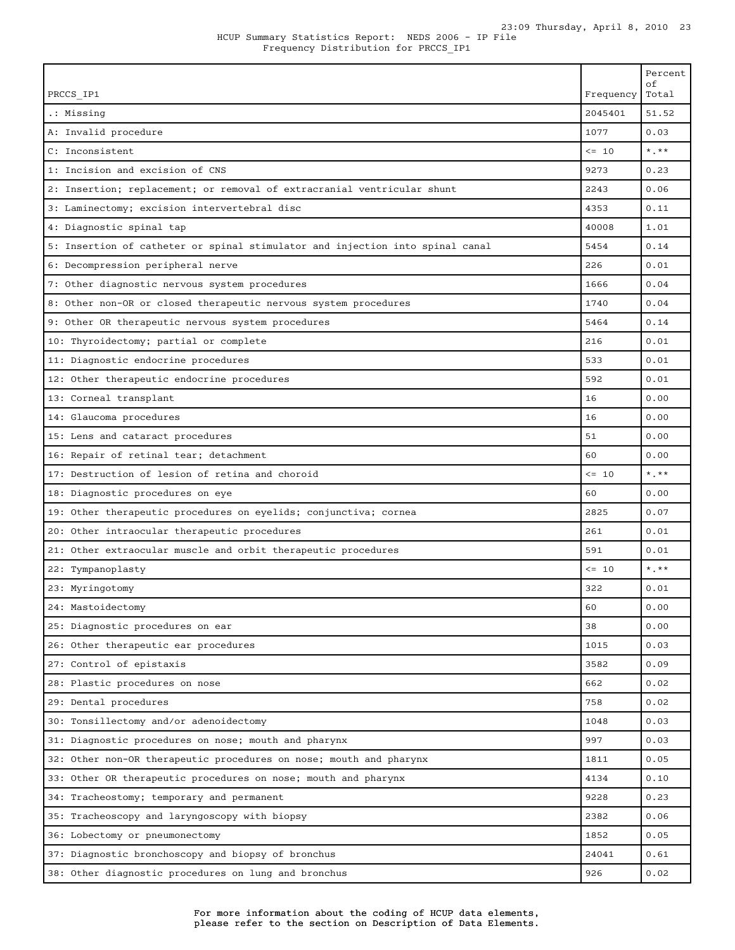| PRCCS IP1                                                                     | Frequency  | Percent<br>οf<br>Total  |
|-------------------------------------------------------------------------------|------------|-------------------------|
| .: Missing                                                                    | 2045401    | 51.52                   |
| A: Invalid procedure                                                          | 1077       | 0.03                    |
| C: Inconsistent                                                               | $\leq -10$ | $\star$ . $\star\star$  |
| 1: Incision and excision of CNS                                               | 9273       | 0.23                    |
| 2: Insertion; replacement; or removal of extracranial ventricular shunt       | 2243       | 0.06                    |
| 3: Laminectomy; excision intervertebral disc                                  | 4353       | 0.11                    |
| 4: Diagnostic spinal tap                                                      | 40008      | 1.01                    |
| 5: Insertion of catheter or spinal stimulator and injection into spinal canal | 5454       | 0.14                    |
| 6: Decompression peripheral nerve                                             | 226        | 0.01                    |
| 7: Other diagnostic nervous system procedures                                 | 1666       | 0.04                    |
| 8: Other non-OR or closed therapeutic nervous system procedures               | 1740       | 0.04                    |
| 9: Other OR therapeutic nervous system procedures                             | 5464       | 0.14                    |
| 10: Thyroidectomy; partial or complete                                        | 216        | 0.01                    |
| 11: Diagnostic endocrine procedures                                           | 533        | 0.01                    |
| 12: Other therapeutic endocrine procedures                                    | 592        | 0.01                    |
| 13: Corneal transplant                                                        | 16         | 0.00                    |
| 14: Glaucoma procedures                                                       | 16         | 0.00                    |
| 15: Lens and cataract procedures                                              | 51         | 0.00                    |
| 16: Repair of retinal tear; detachment                                        | 60         | 0.00                    |
| 17: Destruction of lesion of retina and choroid                               | $\leq -10$ | $*$ , $*$               |
| 18: Diagnostic procedures on eye                                              | 60         | 0.00                    |
| 19: Other therapeutic procedures on eyelids; conjunctiva; cornea              | 2825       | 0.07                    |
| 20: Other intraocular therapeutic procedures                                  | 261        | 0.01                    |
| 21: Other extraocular muscle and orbit therapeutic procedures                 | 591        | 0.01                    |
| 22: Tympanoplasty                                                             | $\leq -10$ | $\star$ $\star$ $\star$ |
| 23: Myringotomy                                                               | 322        | 0.01                    |
| 24: Mastoidectomy                                                             | 60         | 0.00                    |
| 25: Diagnostic procedures on ear                                              | 38         | 0.00                    |
| 26: Other therapeutic ear procedures                                          | 1015       | 0.03                    |
| 27: Control of epistaxis                                                      | 3582       | 0.09                    |
| 28: Plastic procedures on nose                                                | 662        | 0.02                    |
| 29: Dental procedures                                                         | 758        | 0.02                    |
| 30: Tonsillectomy and/or adenoidectomy                                        | 1048       | 0.03                    |
| 31: Diagnostic procedures on nose; mouth and pharynx                          | 997        | 0.03                    |
| 32: Other non-OR therapeutic procedures on nose; mouth and pharynx            | 1811       | 0.05                    |
| 33: Other OR therapeutic procedures on nose; mouth and pharynx                | 4134       | 0.10                    |
| 34: Tracheostomy; temporary and permanent                                     | 9228       | 0.23                    |
| 35: Tracheoscopy and laryngoscopy with biopsy                                 | 2382       | 0.06                    |
| 36: Lobectomy or pneumonectomy                                                | 1852       | 0.05                    |
| 37: Diagnostic bronchoscopy and biopsy of bronchus                            | 24041      | 0.61                    |
| 38: Other diagnostic procedures on lung and bronchus                          | 926        | 0.02                    |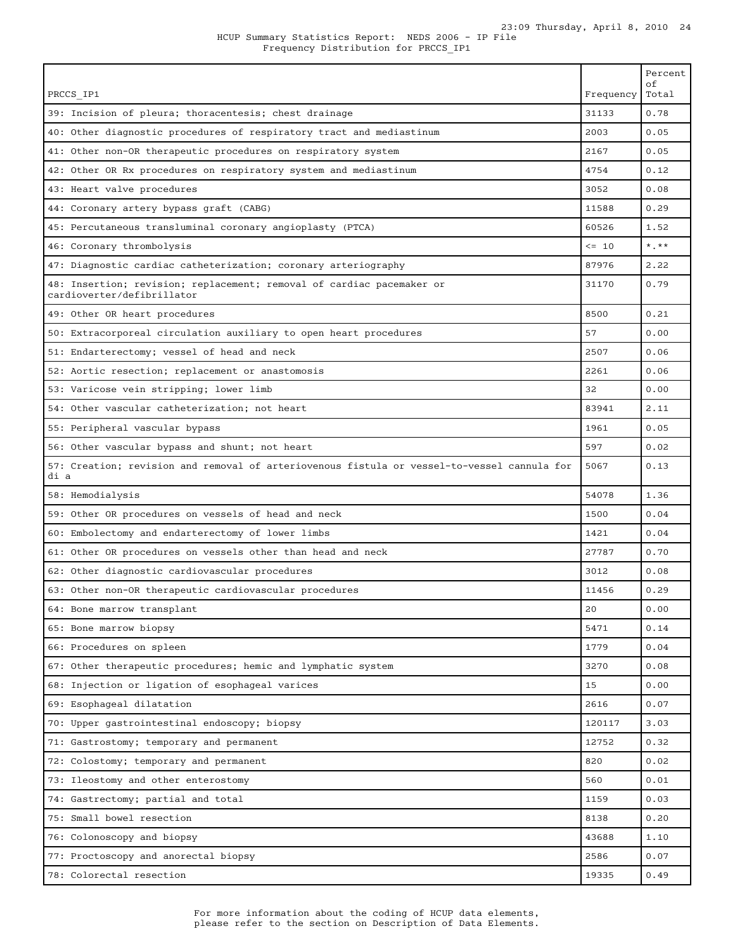|                                                                                                     |            | Percent<br>оf           |
|-----------------------------------------------------------------------------------------------------|------------|-------------------------|
| PRCCS IP1                                                                                           | Frequency  | Total                   |
| 39: Incision of pleura; thoracentesis; chest drainage                                               | 31133      | 0.78                    |
| 40: Other diagnostic procedures of respiratory tract and mediastinum                                | 2003       | 0.05                    |
| 41: Other non-OR therapeutic procedures on respiratory system                                       | 2167       | 0.05                    |
| 42: Other OR Rx procedures on respiratory system and mediastinum                                    | 4754       | 0.12                    |
| 43: Heart valve procedures                                                                          | 3052       | 0.08                    |
| 44: Coronary artery bypass graft (CABG)                                                             | 11588      | 0.29                    |
| 45: Percutaneous transluminal coronary angioplasty (PTCA)                                           | 60526      | 1.52                    |
| 46: Coronary thrombolysis                                                                           | $\leq -10$ | $\star$ $\star$ $\star$ |
| 47: Diagnostic cardiac catheterization; coronary arteriography                                      | 87976      | 2.22                    |
| 48: Insertion; revision; replacement; removal of cardiac pacemaker or<br>cardioverter/defibrillator | 31170      | 0.79                    |
| 49: Other OR heart procedures                                                                       | 8500       | 0.21                    |
| 50: Extracorporeal circulation auxiliary to open heart procedures                                   | 57         | 0.00                    |
| 51: Endarterectomy; vessel of head and neck                                                         | 2507       | 0.06                    |
| 52: Aortic resection; replacement or anastomosis                                                    | 2261       | 0.06                    |
| 53: Varicose vein stripping; lower limb                                                             | 32         | 0.00                    |
| 54: Other vascular catheterization; not heart                                                       | 83941      | 2.11                    |
| 55: Peripheral vascular bypass                                                                      | 1961       | 0.05                    |
| 56: Other vascular bypass and shunt; not heart                                                      | 597        | 0.02                    |
| 57: Creation; revision and removal of arteriovenous fistula or vessel-to-vessel cannula for<br>di a | 5067       | 0.13                    |
| 58: Hemodialysis                                                                                    | 54078      | 1.36                    |
| 59: Other OR procedures on vessels of head and neck                                                 | 1500       | 0.04                    |
| 60: Embolectomy and endarterectomy of lower limbs                                                   | 1421       | 0.04                    |
| 61: Other OR procedures on vessels other than head and neck                                         | 27787      | 0.70                    |
| 62: Other diagnostic cardiovascular procedures                                                      | 3012       | 0.08                    |
| 63: Other non-OR therapeutic cardiovascular procedures                                              | 11456      | 0.29                    |
| 64: Bone marrow transplant                                                                          | 20         | 0.00                    |
| 65: Bone marrow biopsy                                                                              | 5471       | 0.14                    |
| 66: Procedures on spleen                                                                            | 1779       | 0.04                    |
| 67: Other therapeutic procedures; hemic and lymphatic system                                        | 3270       | 0.08                    |
| 68: Injection or ligation of esophageal varices                                                     | 15         | 0.00                    |
| 69: Esophageal dilatation                                                                           | 2616       | 0.07                    |
| 70: Upper gastrointestinal endoscopy; biopsy                                                        | 120117     | 3.03                    |
| 71: Gastrostomy; temporary and permanent                                                            | 12752      | 0.32                    |
| 72: Colostomy; temporary and permanent                                                              | 820        | 0.02                    |
| 73: Ileostomy and other enterostomy                                                                 | 560        | 0.01                    |
| 74: Gastrectomy; partial and total                                                                  | 1159       | 0.03                    |
| 75: Small bowel resection                                                                           | 8138       | 0.20                    |
| 76: Colonoscopy and biopsy                                                                          | 43688      | 1.10                    |
| 77: Proctoscopy and anorectal biopsy                                                                | 2586       | 0.07                    |
| 78: Colorectal resection                                                                            | 19335      | 0.49                    |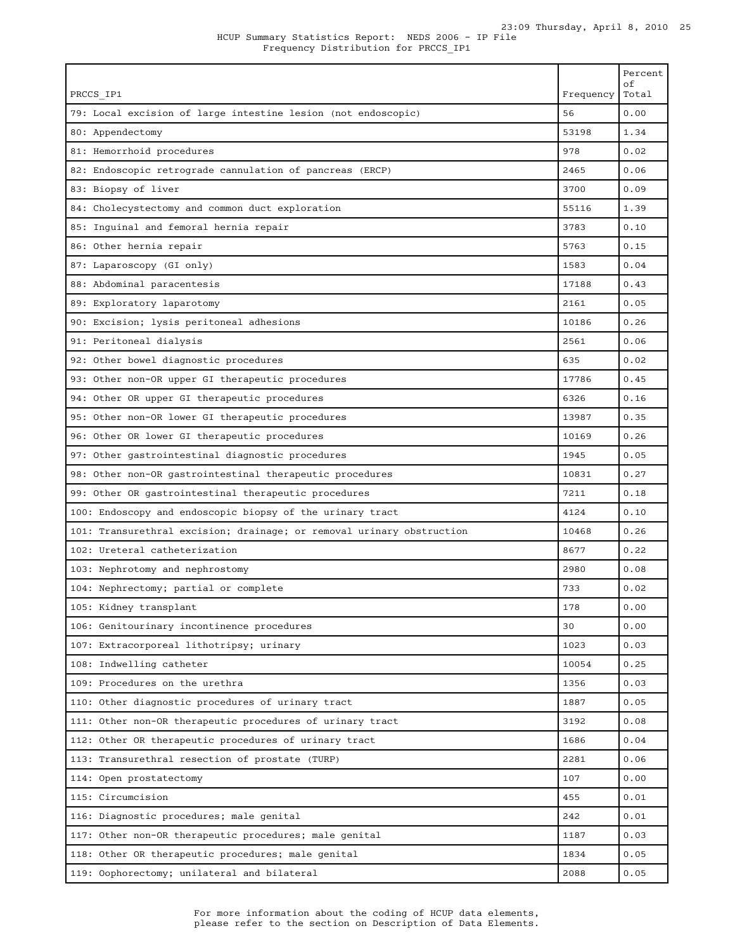| PRCCS IP1                                                             | Frequency | Percent<br>οf<br>Total |
|-----------------------------------------------------------------------|-----------|------------------------|
| 79: Local excision of large intestine lesion (not endoscopic)         | 56        | 0.00                   |
| 80: Appendectomy                                                      | 53198     | 1.34                   |
| 81: Hemorrhoid procedures                                             | 978       | 0.02                   |
| 82: Endoscopic retrograde cannulation of pancreas (ERCP)              | 2465      | 0.06                   |
| 83: Biopsy of liver                                                   | 3700      | 0.09                   |
| 84: Cholecystectomy and common duct exploration                       | 55116     | 1.39                   |
| 85: Inguinal and femoral hernia repair                                | 3783      | 0.10                   |
| 86: Other hernia repair                                               | 5763      | 0.15                   |
| 87: Laparoscopy (GI only)                                             | 1583      | 0.04                   |
| 88: Abdominal paracentesis                                            | 17188     | 0.43                   |
| 89: Exploratory laparotomy                                            | 2161      | 0.05                   |
| 90: Excision; lysis peritoneal adhesions                              | 10186     | 0.26                   |
| 91: Peritoneal dialysis                                               | 2561      | 0.06                   |
| 92: Other bowel diagnostic procedures                                 | 635       | 0.02                   |
| 93: Other non-OR upper GI therapeutic procedures                      | 17786     | 0.45                   |
| 94: Other OR upper GI therapeutic procedures                          | 6326      | 0.16                   |
| 95: Other non-OR lower GI therapeutic procedures                      | 13987     | 0.35                   |
| 96: Other OR lower GI therapeutic procedures                          | 10169     | 0.26                   |
| 97: Other gastrointestinal diagnostic procedures                      | 1945      | 0.05                   |
| 98: Other non-OR gastrointestinal therapeutic procedures              | 10831     | 0.27                   |
| 99: Other OR gastrointestinal therapeutic procedures                  | 7211      | 0.18                   |
| 100: Endoscopy and endoscopic biopsy of the urinary tract             | 4124      | 0.10                   |
| 101: Transurethral excision; drainage; or removal urinary obstruction | 10468     | 0.26                   |
| 102: Ureteral catheterization                                         | 8677      | 0.22                   |
| 103: Nephrotomy and nephrostomy                                       | 2980      | 0.08                   |
| 104: Nephrectomy; partial or complete                                 | 733       | 0.02                   |
| 105: Kidney transplant                                                | 178       | 0.00                   |
| 106: Genitourinary incontinence procedures                            | 30        | 0.00                   |
| 107: Extracorporeal lithotripsy; urinary                              | 1023      | 0.03                   |
| 108: Indwelling catheter                                              | 10054     | 0.25                   |
| 109: Procedures on the urethra                                        | 1356      | 0.03                   |
| 110: Other diagnostic procedures of urinary tract                     | 1887      | 0.05                   |
| 111: Other non-OR therapeutic procedures of urinary tract             | 3192      | 0.08                   |
| 112: Other OR therapeutic procedures of urinary tract                 | 1686      | 0.04                   |
| 113: Transurethral resection of prostate (TURP)                       | 2281      | 0.06                   |
| 114: Open prostatectomy                                               | 107       | 0.00                   |
| 115: Circumcision                                                     | 455       | 0.01                   |
| 116: Diagnostic procedures; male genital                              | 242       | 0.01                   |
| 117: Other non-OR therapeutic procedures; male genital                | 1187      | 0.03                   |
| 118: Other OR therapeutic procedures; male genital                    | 1834      | 0.05                   |
| 119: Oophorectomy; unilateral and bilateral                           | 2088      | 0.05                   |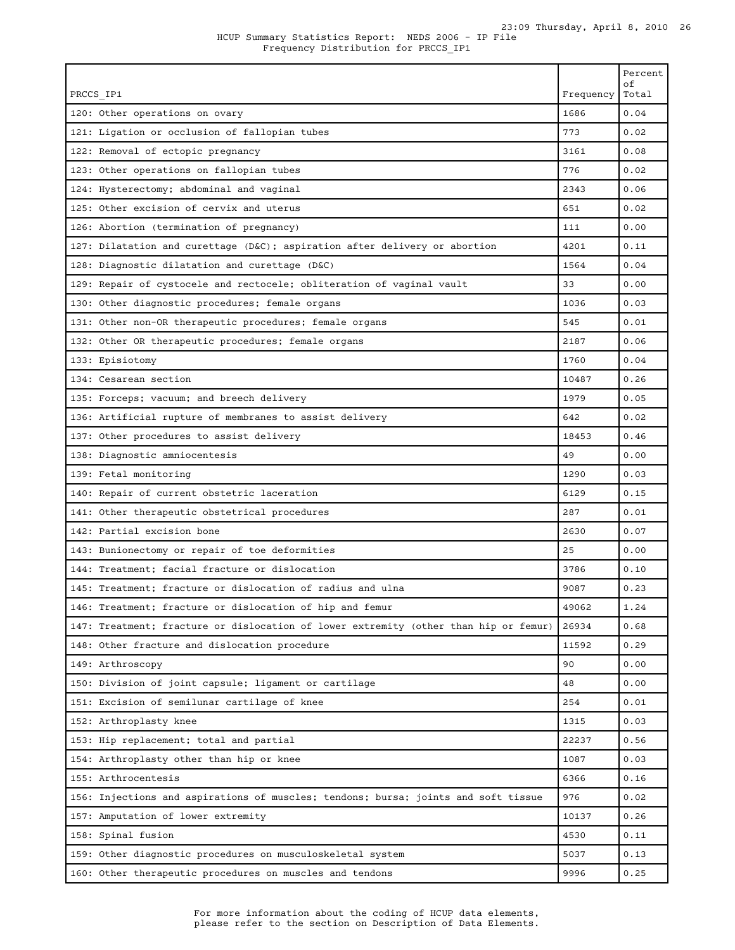| PRCCS IP1                                                                            | Frequency | Percent<br>οf<br>Total |
|--------------------------------------------------------------------------------------|-----------|------------------------|
| 120: Other operations on ovary                                                       | 1686      | 0.04                   |
| 121: Ligation or occlusion of fallopian tubes                                        | 773       | 0.02                   |
| 122: Removal of ectopic pregnancy                                                    | 3161      | 0.08                   |
| 123: Other operations on fallopian tubes                                             | 776       | 0.02                   |
| 124: Hysterectomy; abdominal and vaginal                                             | 2343      | 0.06                   |
| 125: Other excision of cervix and uterus                                             | 651       | 0.02                   |
| 126: Abortion (termination of pregnancy)                                             | 111       | 0.00                   |
| 127: Dilatation and curettage (D&C); aspiration after delivery or abortion           | 4201      | 0.11                   |
| 128: Diagnostic dilatation and curettage (D&C)                                       | 1564      | 0.04                   |
| 129: Repair of cystocele and rectocele; obliteration of vaginal vault                | 33        | 0.00                   |
| 130: Other diagnostic procedures; female organs                                      | 1036      | 0.03                   |
| 131: Other non-OR therapeutic procedures; female organs                              | 545       | 0.01                   |
| 132: Other OR therapeutic procedures; female organs                                  | 2187      | 0.06                   |
| 133: Episiotomy                                                                      | 1760      | 0.04                   |
| 134: Cesarean section                                                                | 10487     | 0.26                   |
| 135: Forceps; vacuum; and breech delivery                                            | 1979      | 0.05                   |
| 136: Artificial rupture of membranes to assist delivery                              | 642       | 0.02                   |
| 137: Other procedures to assist delivery                                             | 18453     | 0.46                   |
| 138: Diagnostic amniocentesis                                                        | 49        | 0.00                   |
| 139: Fetal monitoring                                                                | 1290      | 0.03                   |
| 140: Repair of current obstetric laceration                                          | 6129      | 0.15                   |
| 141: Other therapeutic obstetrical procedures                                        | 287       | 0.01                   |
| 142: Partial excision bone                                                           | 2630      | 0.07                   |
| 143: Bunionectomy or repair of toe deformities                                       | 25        | 0.00                   |
| 144: Treatment; facial fracture or dislocation                                       | 3786      | 0.10                   |
| 145: Treatment; fracture or dislocation of radius and ulna                           | 9087      | 0.23                   |
| 146: Treatment; fracture or dislocation of hip and femur                             | 49062     | 1.24                   |
| 147: Treatment; fracture or dislocation of lower extremity (other than hip or femur) | 26934     | 0.68                   |
| 148: Other fracture and dislocation procedure                                        | 11592     | 0.29                   |
| 149: Arthroscopy                                                                     | 90        | 0.00                   |
| 150: Division of joint capsule; ligament or cartilage                                | 48        | 0.00                   |
| 151: Excision of semilunar cartilage of knee                                         | 254       | 0.01                   |
| 152: Arthroplasty knee                                                               | 1315      | 0.03                   |
| 153: Hip replacement; total and partial                                              | 22237     | 0.56                   |
| 154: Arthroplasty other than hip or knee                                             | 1087      | 0.03                   |
| 155: Arthrocentesis                                                                  | 6366      | 0.16                   |
| 156: Injections and aspirations of muscles; tendons; bursa; joints and soft tissue   | 976       | 0.02                   |
| 157: Amputation of lower extremity                                                   | 10137     | 0.26                   |
| 158: Spinal fusion                                                                   | 4530      | 0.11                   |
| 159: Other diagnostic procedures on musculoskeletal system                           | 5037      | 0.13                   |
| 160: Other therapeutic procedures on muscles and tendons                             | 9996      | 0.25                   |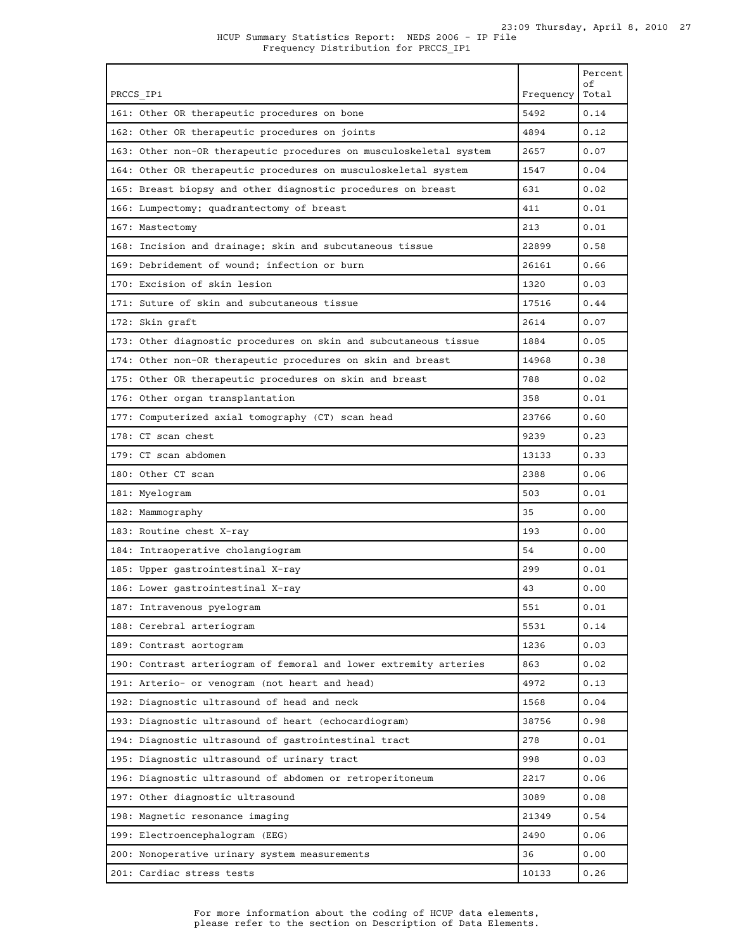|                                                                    |           | Percent<br>οf |
|--------------------------------------------------------------------|-----------|---------------|
| PRCCS IP1                                                          | Frequency | Total         |
| 161: Other OR therapeutic procedures on bone                       | 5492      | 0.14          |
| 162: Other OR therapeutic procedures on joints                     | 4894      | 0.12          |
| 163: Other non-OR therapeutic procedures on musculoskeletal system | 2657      | 0.07          |
| 164: Other OR therapeutic procedures on musculoskeletal system     | 1547      | 0.04          |
| 165: Breast biopsy and other diagnostic procedures on breast       | 631       | 0.02          |
| 166: Lumpectomy; quadrantectomy of breast                          | 411       | 0.01          |
| 167: Mastectomy                                                    | 213       | 0.01          |
| 168: Incision and drainage; skin and subcutaneous tissue           | 22899     | 0.58          |
| 169: Debridement of wound; infection or burn                       | 26161     | 0.66          |
| 170: Excision of skin lesion                                       | 1320      | 0.03          |
| 171: Suture of skin and subcutaneous tissue                        | 17516     | 0.44          |
| 172: Skin graft                                                    | 2614      | 0.07          |
| 173: Other diagnostic procedures on skin and subcutaneous tissue   | 1884      | 0.05          |
| 174: Other non-OR therapeutic procedures on skin and breast        | 14968     | 0.38          |
| 175: Other OR therapeutic procedures on skin and breast            | 788       | 0.02          |
| 176: Other organ transplantation                                   | 358       | 0.01          |
| 177: Computerized axial tomography (CT) scan head                  | 23766     | 0.60          |
| 178: CT scan chest                                                 | 9239      | 0.23          |
| 179: CT scan abdomen                                               | 13133     | 0.33          |
| 180: Other CT scan                                                 | 2388      | 0.06          |
| 181: Myelogram                                                     | 503       | 0.01          |
| 182: Mammography                                                   | 35        | 0.00          |
| 183: Routine chest X-ray                                           | 193       | 0.00          |
| 184: Intraoperative cholangiogram                                  | 54        | 0.00          |
| 185: Upper gastrointestinal X-ray                                  | 299       | 0.01          |
| 186: Lower gastrointestinal X-ray                                  | 43        | 0.00          |
| 187: Intravenous pyelogram                                         | 551       | 0.01          |
| 188: Cerebral arteriogram                                          | 5531      | 0.14          |
| 189: Contrast aortogram                                            | 1236      | 0.03          |
| 190: Contrast arteriogram of femoral and lower extremity arteries  | 863       | 0.02          |
| 191: Arterio- or venogram (not heart and head)                     | 4972      | 0.13          |
| 192: Diagnostic ultrasound of head and neck                        | 1568      | 0.04          |
| 193: Diagnostic ultrasound of heart (echocardiogram)               | 38756     | 0.98          |
| 194: Diagnostic ultrasound of gastrointestinal tract               | 278       | 0.01          |
| 195: Diagnostic ultrasound of urinary tract                        | 998       | 0.03          |
| 196: Diagnostic ultrasound of abdomen or retroperitoneum           | 2217      | 0.06          |
| 197: Other diagnostic ultrasound                                   | 3089      | 0.08          |
| 198: Magnetic resonance imaging                                    | 21349     | 0.54          |
| 199: Electroencephalogram (EEG)                                    | 2490      | 0.06          |
| 200: Nonoperative urinary system measurements                      | 36        | 0.00          |
| 201: Cardiac stress tests                                          | 10133     | 0.26          |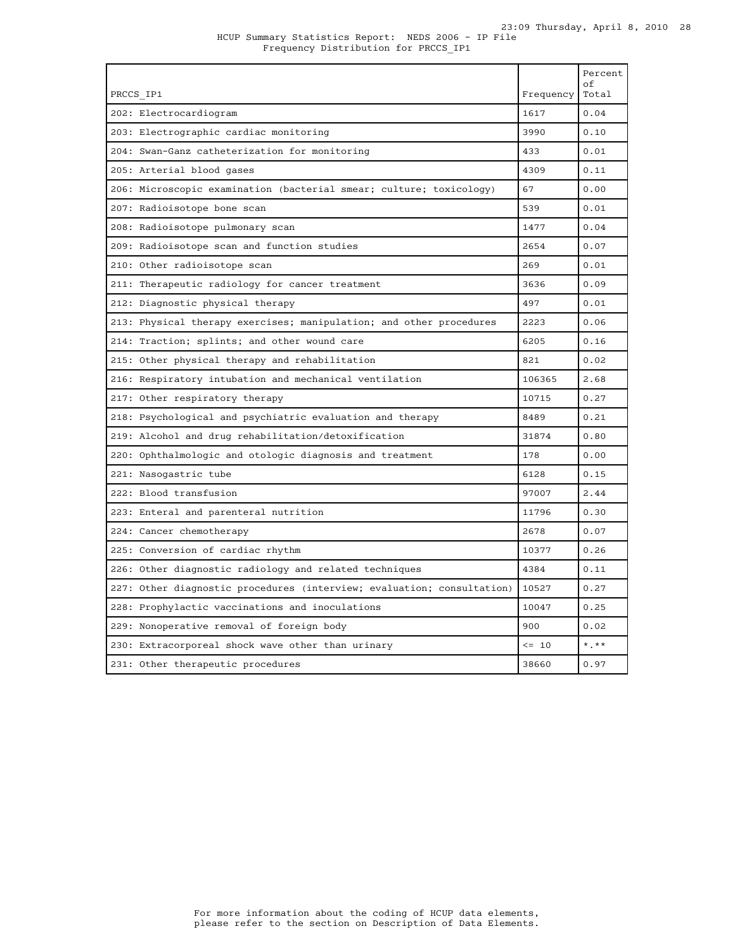| PRCCS IP1                                                              | Frequency  | Percent<br>оf<br>Total |
|------------------------------------------------------------------------|------------|------------------------|
| 202: Electrocardiogram                                                 | 1617       | 0.04                   |
| 203: Electrographic cardiac monitoring                                 | 3990       | 0.10                   |
| 204: Swan-Ganz catheterization for monitoring                          | 433        | 0.01                   |
| 205: Arterial blood gases                                              | 4309       | 0.11                   |
| 206: Microscopic examination (bacterial smear; culture; toxicology)    | 67         | 0.00                   |
| 207: Radioisotope bone scan                                            | 539        | 0.01                   |
| 208: Radioisotope pulmonary scan                                       | 1477       | 0.04                   |
| 209: Radioisotope scan and function studies                            | 2654       | 0.07                   |
| 210: Other radioisotope scan                                           | 269        | 0.01                   |
| 211: Therapeutic radiology for cancer treatment                        | 3636       | 0.09                   |
| 212: Diagnostic physical therapy                                       | 497        | 0.01                   |
| 213: Physical therapy exercises; manipulation; and other procedures    | 2223       | 0.06                   |
| 214: Traction; splints; and other wound care                           | 6205       | 0.16                   |
| 215: Other physical therapy and rehabilitation                         | 821        | 0.02                   |
| 216: Respiratory intubation and mechanical ventilation                 | 106365     | 2.68                   |
| 217: Other respiratory therapy                                         | 10715      | 0.27                   |
| 218: Psychological and psychiatric evaluation and therapy              | 8489       | 0.21                   |
| 219: Alcohol and drug rehabilitation/detoxification                    | 31874      | 0.80                   |
| 220: Ophthalmologic and otologic diagnosis and treatment               | 178        | 0.00                   |
| 221: Nasogastric tube                                                  | 6128       | 0.15                   |
| 222: Blood transfusion                                                 | 97007      | 2.44                   |
| 223: Enteral and parenteral nutrition                                  | 11796      | 0.30                   |
| 224: Cancer chemotherapy                                               | 2678       | 0.07                   |
| 225: Conversion of cardiac rhythm                                      | 10377      | 0.26                   |
| 226: Other diagnostic radiology and related techniques                 | 4384       | 0.11                   |
| 227: Other diagnostic procedures (interview; evaluation; consultation) | 10527      | 0.27                   |
| 228: Prophylactic vaccinations and inoculations                        | 10047      | 0.25                   |
| 229: Nonoperative removal of foreign body                              | 900        | 0.02                   |
| 230: Extracorporeal shock wave other than urinary                      | $\leq -10$ | $*$ , $*$              |
| 231: Other therapeutic procedures                                      | 38660      | 0.97                   |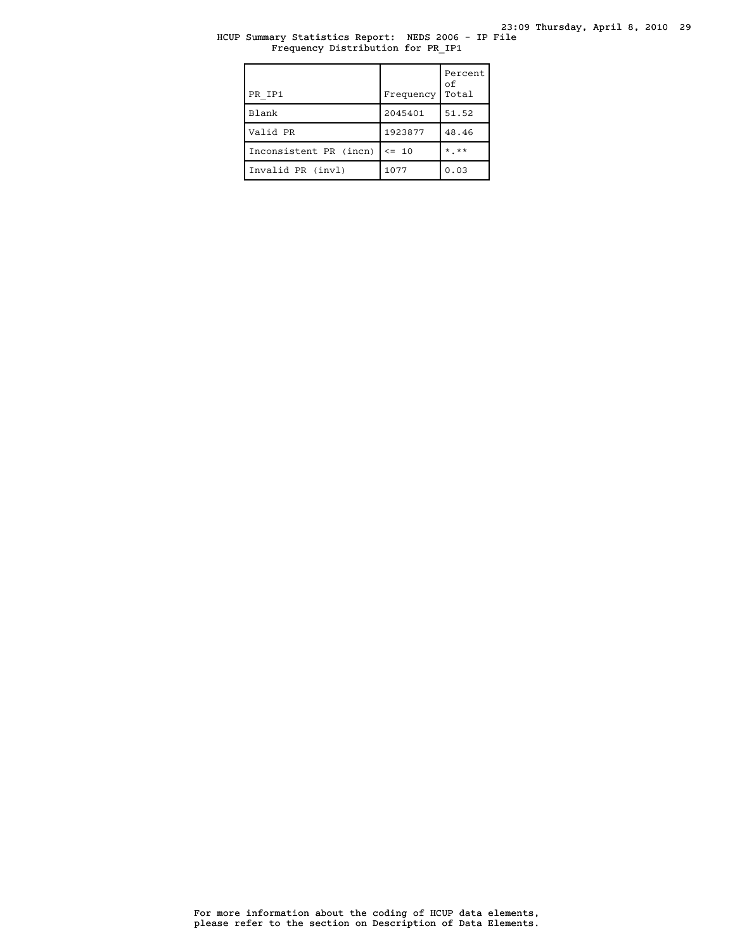# HCUP Summary Statistics Report: NEDS 2006 - IP File Frequency Distribution for PR\_IP1

| PR IP1                 | Frequency | Percent<br>οf<br>Total |
|------------------------|-----------|------------------------|
| Blank                  | 2045401   | 51.52                  |
| Valid PR               | 1923877   | 48.46                  |
| Inconsistent PR (incn) | $\leq$ 10 | $*$ $**$               |
| Invalid PR (invl)      | 1077      | 0.03                   |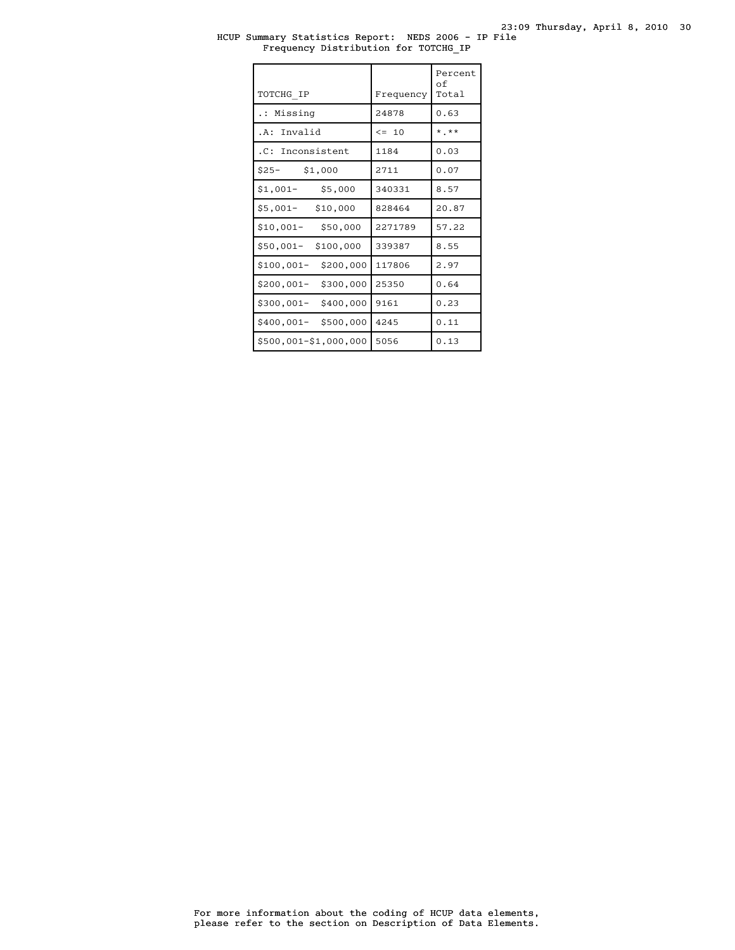## HCUP Summary Statistics Report: NEDS 2006 - IP File Frequency Distribution for TOTCHG\_IP

| TOTCHG IP               | Frequency  | Percent<br>оf<br>Total |
|-------------------------|------------|------------------------|
| Missing                 | 24878      | 0.63                   |
| .A: Invalid             | $\leq -10$ | $*$ **                 |
| .C: Inconsistent        | 1184       | 0.03                   |
| $$25-$<br>\$1,000       | 2711       | 0.07                   |
| \$5,000<br>$$1,001-$    | 340331     | 8.57                   |
| $$5,001-$<br>\$10,000   | 828464     | 20.87                  |
| $$10,001-$<br>\$50,000  | 2271789    | 57.22                  |
| \$50,001-<br>\$100,000  | 339387     | 8.55                   |
| \$100,001-<br>\$200,000 | 117806     | 2.97                   |
| \$300,000<br>\$200,001- | 25350      | 0.64                   |
| \$400,000<br>\$300,001- | 9161       | 0.23                   |
| \$400,001-<br>\$500,000 | 4245       | 0.11                   |
| \$500,001-\$1,000,000   | 5056       | 0.13                   |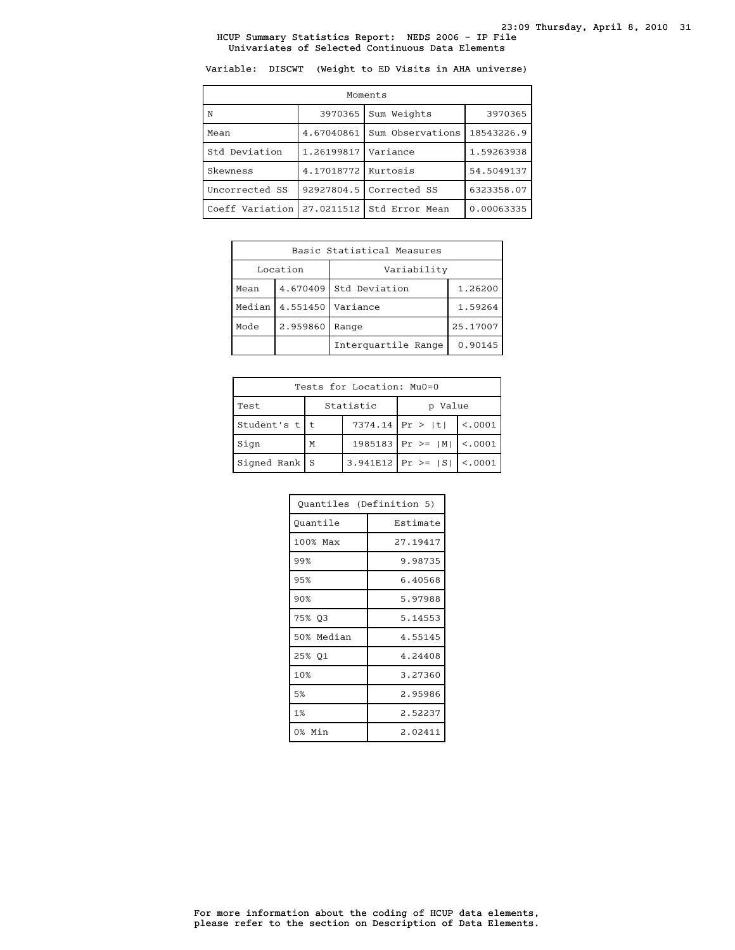Variable: DISCWT (Weight to ED Visits in AHA universe)

| Moments         |            |                  |            |  |
|-----------------|------------|------------------|------------|--|
| N               | 3970365    | Sum Weights      | 3970365    |  |
| Mean            | 4.67040861 | Sum Observations | 18543226.9 |  |
| Std Deviation   | 1.26199817 | Variance         | 1.59263938 |  |
| Skewness        | 4.17018772 | Kurtosis         | 54.5049137 |  |
| Uncorrected SS  | 92927804.5 | Corrected SS     | 6323358.07 |  |
| Coeff Variation | 27.0211512 | Std Error Mean   | 0.00063335 |  |

| Basic Statistical Measures |          |                          |          |
|----------------------------|----------|--------------------------|----------|
| Location<br>Variability    |          |                          |          |
| Mean                       | 4.670409 | Std Deviation<br>1.26200 |          |
| Median                     | 4.551450 | Variance                 | 1.59264  |
| Mode                       | 2.959860 | Range                    | 25.17007 |
|                            |          | Interquartile Range      | 0.90145  |

| Tests for Location: Mu0=0       |   |  |                                |          |
|---------------------------------|---|--|--------------------------------|----------|
| Statistic<br>Test<br>Value<br>D |   |  |                                |          |
| Student's t t                   |   |  | $7374.14$ Pr >  t              | < 0.0001 |
| Sign                            | M |  | 1985183   Pr >= $ M $   <.0001 |          |
| Signed Rank   S                 |   |  | 3.941E12   Pr >= $ S $         | < .0001  |

| Quantiles (Definition 5) |          |  |
|--------------------------|----------|--|
| Quantile                 | Estimate |  |
| 100% Max                 | 27.19417 |  |
| 99%                      | 9.98735  |  |
| 95%                      | 6.40568  |  |
| 90%                      | 5.97988  |  |
| 75% 03                   | 5.14553  |  |
| 50% Median               | 4.55145  |  |
| 25% Q1                   | 4.24408  |  |
| 10%                      | 3.27360  |  |
| 5%                       | 2.95986  |  |
| 1%                       | 2.52237  |  |
| 0% Min                   | 2.02411  |  |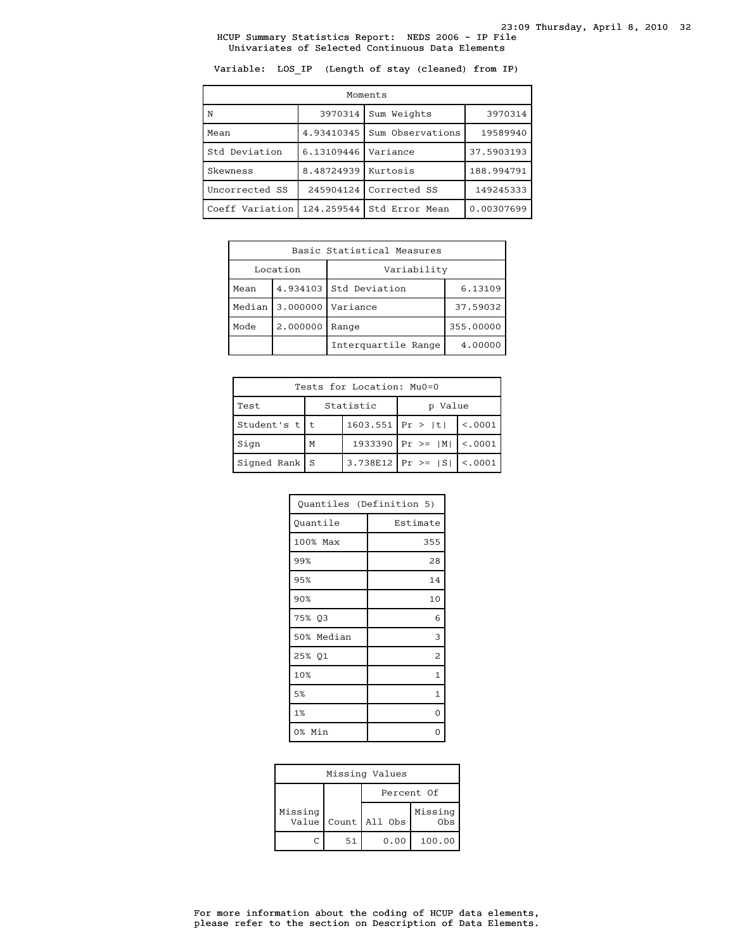Variable: LOS\_IP (Length of stay (cleaned) from IP)

| Moments         |            |                  |            |  |
|-----------------|------------|------------------|------------|--|
| N               | 3970314    | Sum Weights      | 3970314    |  |
| Mean            | 4.93410345 | Sum Observations | 19589940   |  |
| Std Deviation   | 6.13109446 | Variance         | 37.5903193 |  |
| Skewness        | 8.48724939 | Kurtosis         | 188.994791 |  |
| Uncorrected SS  | 245904124  | Corrected SS     | 149245333  |  |
| Coeff Variation | 124.259544 | Std Error Mean   | 0.00307699 |  |

| Basic Statistical Measures |          |                                   |           |
|----------------------------|----------|-----------------------------------|-----------|
| Location<br>Variability    |          |                                   |           |
| Mean                       |          | 4.934103 Std Deviation<br>6.13109 |           |
| Median                     | 3.000000 | Variance                          | 37.59032  |
| Mode                       | 2.000000 | Range                             | 355.00000 |
|                            |          | Interguartile Range               | 4.00000   |

| Tests for Location: Mu0=0 |   |                    |                                |          |  |
|---------------------------|---|--------------------|--------------------------------|----------|--|
| Test                      |   | Statistic          |                                | Value    |  |
| Student's $t$   t         |   | $1603.551$ Pr >  t |                                | < 0.0001 |  |
| Sign                      | M |                    | 1933390   Pr >= $ M $   <.0001 |          |  |
| $Signal Rank$   S         |   |                    | $3.738E12$ Pr >= $ S $ <.0001  |          |  |

| Quantiles (Definition 5) |              |  |  |
|--------------------------|--------------|--|--|
| Quantile                 | Estimate     |  |  |
| 100% Max                 | 355          |  |  |
| 99%                      | 28           |  |  |
| 95%                      | 14           |  |  |
| 90%                      | 10           |  |  |
| 75% Q3                   | 6            |  |  |
| 50% Median               | 3            |  |  |
| 25% 01                   | 2            |  |  |
| 10%                      | 1            |  |  |
| 5%                       | $\mathbf{1}$ |  |  |
| 1%                       | 0            |  |  |
| 0% Min                   |              |  |  |

| Missing Values |  |            |                         |                |
|----------------|--|------------|-------------------------|----------------|
|                |  | Percent Of |                         |                |
| Missing        |  |            | Value   Count   All Obs | Missing<br>0bs |
|                |  | 51         | 0.00                    | 100.00         |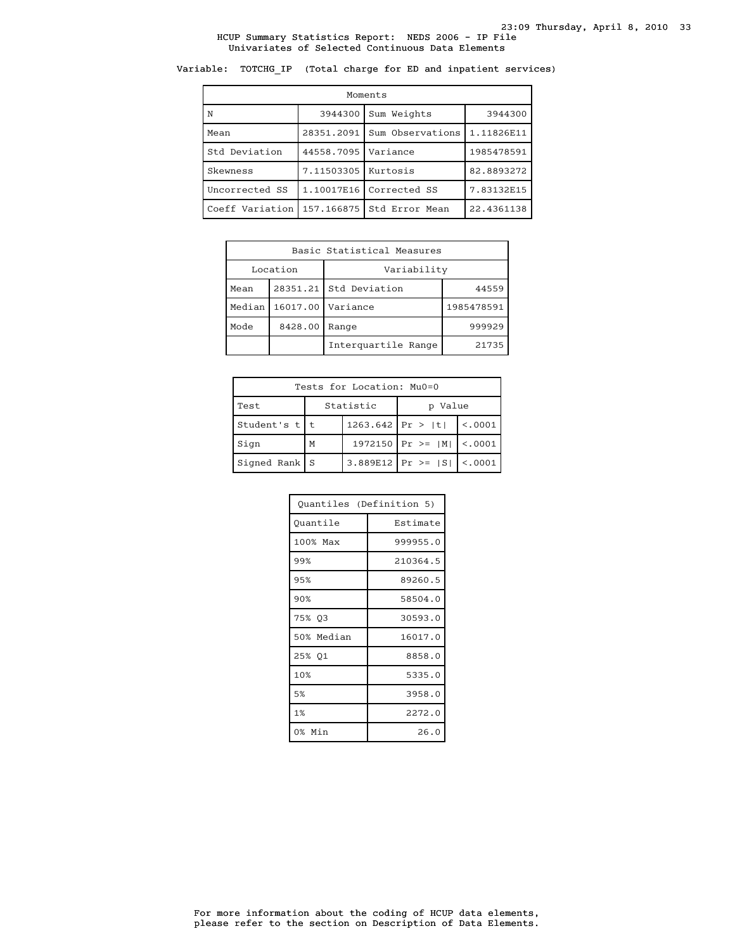# Variable: TOTCHG\_IP (Total charge for ED and inpatient services)

| Moments         |            |                        |            |  |  |
|-----------------|------------|------------------------|------------|--|--|
| N               | 3944300    | Sum Weights<br>3944300 |            |  |  |
| Mean            | 28351.2091 | Sum Observations       | 1.11826E11 |  |  |
| Std Deviation   | 44558.7095 | Variance               | 1985478591 |  |  |
| Skewness        | 7.11503305 | Kurtosis               | 82.8893272 |  |  |
| Uncorrected SS  | 1.10017E16 | Corrected SS           | 7.83132E15 |  |  |
| Coeff Variation | 157.166875 | Std Error Mean         | 22.4361138 |  |  |

| Basic Statistical Measures |          |                                 |            |  |
|----------------------------|----------|---------------------------------|------------|--|
|                            | Location | Variability                     |            |  |
| Mean                       |          | 28351.21 Std Deviation<br>44559 |            |  |
| Median                     |          | 16017.00   Variance             | 1985478591 |  |
| Mode                       | 8428.00  | Range                           | 999929     |  |
| Interguartile Range        |          |                                 | 21735      |  |

| Tests for Location: Mu0=0 |                      |                    |                                 |          |  |
|---------------------------|----------------------|--------------------|---------------------------------|----------|--|
| Test                      | Statistic<br>p Value |                    |                                 |          |  |
| Student's $t$   t         |                      | $1263.642$ Pr >  t |                                 | < 0.0001 |  |
| Sign                      | M                    |                    | 1972150   Pr >= $ M $   <.0001  |          |  |
| $Signal Rank$ S           |                      |                    | 3.889E12   Pr >= $ S $   <.0001 |          |  |

| Quantiles (Definition 5) |          |
|--------------------------|----------|
| Ouantile                 | Estimate |
| 100% Max                 | 999955.0 |
| 99%                      | 210364.5 |
| 95%                      | 89260.5  |
| 90%                      | 58504.0  |
| 75% 03                   | 30593.0  |
| 50% Median               | 16017.0  |
| 25% 01                   | 8858.0   |
| 10%                      | 5335.0   |
| 5%                       | 3958.0   |
| 1%                       | 2272.0   |
| 0% Min                   | 26.0     |